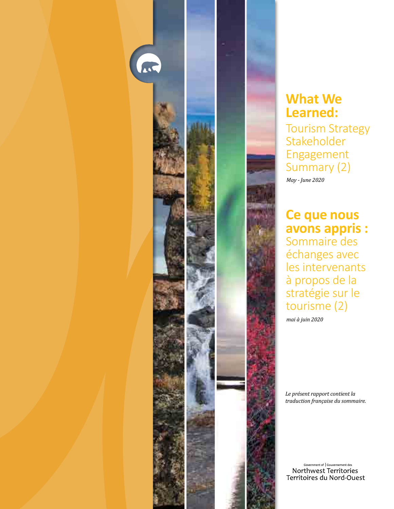

## **What We Learned:**

Tourism Strategy Stakeholder Engagement Summary (2)

*May - June 2020*

**Ce que nous avons appris :** Sommaire des échanges avec les intervenants à propos de la stratégie sur le tourisme (2)

*mai à juin 2020*

*Le présent rapport contient la traduction française du sommaire.*

Government of | Gouvernement des Northwest Territories Territoires du Nord-Ouest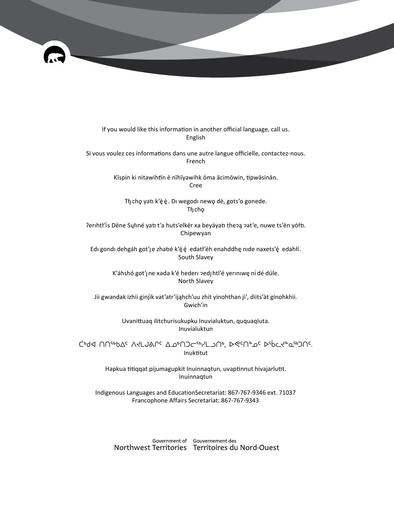

If you would like this information in another official language, call us. English

Si vous voulez ces informations dans une autre langue officielle, contactez-nous. French

> Kīspin ki nitawihtīn ē nīhīyawihk ōma ācimōwin, tipwāsinān. Cree

Tłį chę yatı k'è è. Di wegodi newę dè, gots'o gonede. Tłı̨chǫ

Perihtł'is Dëne Sųłiné yati t'a huts'elkër xa beyáyati thepą pat'e, nuwe ts'ën yółti. Chipewyan

Edi gondi dehgáh got'je zhatié k'éé edatł'éh enahddhę nide naxets'é edahłí. South Slavey

> K'áhshó got'į ne xada k'é hederi pedį htl'é yeriniwę ní dé dúle. North Slavey

Jii gwandak izhii ginjìk vat'atr'ijąhch'uu zhit yinohthan jì', diits'àt ginohkhìi. Gwich'in

> Uvanittuaq ilitchurisukupku Inuvialuktun, ququaqluta. Inuvialuktun

ᑖᒃᑯᐊ ᑎᑎᕐᒃᑲᐃᑦ ᐱᔪᒪᒍᕕᒋᑦ ᐃᓄᒃᑎᑐᓕᕐᒃᓯᒪᓗᑎᒃ, ᐅᕙᑦᑎᓐᓄᑦ ᐅᖄᓚᔪᓐᓇᖅᑐᑎᑦ. Inuktitut

> Hapkua titiqqat pijumagupkit Inuinnaqtun, uvaptinnut hivajarlutit. Inuinnaqtun

Indigenous Languages and EducationSecretariat: 867-767-9346 ext. 71037 Francophone Affairs Secretariat: 867-767-9343

Government of Gouvernement des Northwest Territories Territoires du Nord-Ouest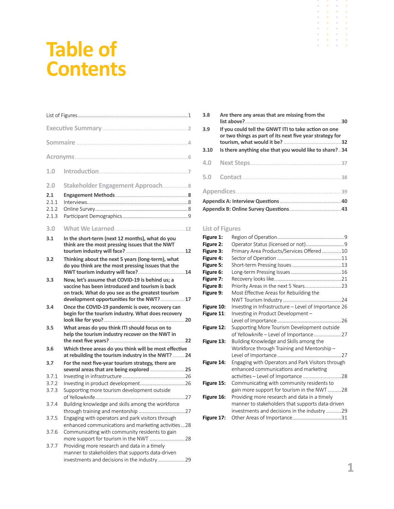# **Table of Contents**

| 1.0   |                                                                                                                                                                                                       |
|-------|-------------------------------------------------------------------------------------------------------------------------------------------------------------------------------------------------------|
| 2.0   | Stakeholder Engagement Approach8                                                                                                                                                                      |
| 2.1   |                                                                                                                                                                                                       |
| 2.1.1 |                                                                                                                                                                                                       |
| 2.1.2 |                                                                                                                                                                                                       |
| 2.1.3 |                                                                                                                                                                                                       |
|       |                                                                                                                                                                                                       |
| 3.0   |                                                                                                                                                                                                       |
| 3.1   | In the short-term (next 12 months), what do you<br>think are the most pressing issues that the NWT                                                                                                    |
| 3.2   | Thinking about the next 5 years (long-term), what<br>do you think are the most pressing issues that the<br>NWT tourism industry will face? 14                                                         |
| 3.3   | Now, let's assume that COVID-19 is behind us; a<br>vaccine has been introduced and tourism is back<br>on track. What do you see as the greatest tourism<br>development opportunities for the NWT?  17 |
| 3.4   | Once the COVID-19 pandemic is over, recovery can<br>begin for the tourism industry. What does recovery                                                                                                |
| 3.5   | What areas do you think ITI should focus on to<br>help the tourism industry recover on the NWT in                                                                                                     |
| 3.6   | Which three areas do you think will be most effective<br>at rebuilding the tourism industry in the NWT?  24                                                                                           |
| 3.7   | For the next five-year tourism strategy, there are                                                                                                                                                    |
| 3.7.1 |                                                                                                                                                                                                       |
|       |                                                                                                                                                                                                       |
| 3.7.2 |                                                                                                                                                                                                       |
| 3.7.3 | Supporting more tourism development outside                                                                                                                                                           |
| 3.7.4 | Building knowledge and skills among the workforce                                                                                                                                                     |
|       |                                                                                                                                                                                                       |
|       |                                                                                                                                                                                                       |
| 3.7.5 | Engaging with operators and park visitors through                                                                                                                                                     |
|       | enhanced communications and marketing activities28                                                                                                                                                    |
| 3.7.6 | Communicating with community residents to gain                                                                                                                                                        |
|       | more support for tourism in the NWT 28                                                                                                                                                                |
| 3.7.7 | Providing more research and data in a timely                                                                                                                                                          |
|       | manner to stakeholders that supports data-driven                                                                                                                                                      |
|       | investments and decisions in the industry29                                                                                                                                                           |

| 3.8         | Are there any areas that are missing from the                                                                                                                              |  |
|-------------|----------------------------------------------------------------------------------------------------------------------------------------------------------------------------|--|
| 3.9<br>3.10 | If you could tell the GNWT ITI to take action on one<br>or two things as part of its next five year strategy for<br>Is there anything else that you would like to share?34 |  |
|             |                                                                                                                                                                            |  |
| 4.0         |                                                                                                                                                                            |  |
| 5.0         |                                                                                                                                                                            |  |
|             |                                                                                                                                                                            |  |
|             |                                                                                                                                                                            |  |
|             |                                                                                                                                                                            |  |

## **List of Figures**

| Figure 1:  |                                                      |  |
|------------|------------------------------------------------------|--|
| Figure 2:  | Operator Status (licensed or not)9                   |  |
| Figure 3:  | Primary Area Products/Services Offered 10            |  |
| Figure 4:  |                                                      |  |
| Figure 5:  |                                                      |  |
| Figure 6:  |                                                      |  |
| Figure 7:  |                                                      |  |
| Figure 8:  |                                                      |  |
| Figure 9:  | Most Effective Areas for Rebuilding the              |  |
|            |                                                      |  |
| Figure 10: | Investing in Infrastructure - Level of Importance 26 |  |
| Figure 11: | Investing in Product Development -                   |  |
|            |                                                      |  |
| Figure 12: | Supporting More Tourism Development outside          |  |
|            |                                                      |  |
| Figure 13: | Building Knowledge and Skills among the              |  |
|            | Workforce through Training and Mentorship-           |  |
|            |                                                      |  |
| Figure 14: | Engaging with Operators and Park Visitors through    |  |
|            | enhanced communications and marketing                |  |
|            | activities - Level of Importance  28                 |  |
| Figure 15: | Communicating with community residents to            |  |
|            | gain more support for tourism in the NWT28           |  |
| Figure 16: | Providing more research and data in a timely         |  |
|            | manner to stakeholders that supports data-driven     |  |
|            | investments and decisions in the industry 29         |  |
| Figure 17: |                                                      |  |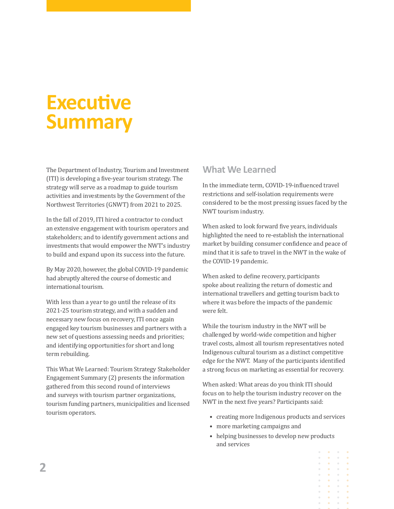# **Executive Summary**

The Department of Industry, Tourism and Investment (ITI) is developing a five-year tourism strategy. The strategy will serve as a roadmap to guide tourism activities and investments by the Government of the Northwest Territories (GNWT) from 2021 to 2025.

In the fall of 2019, ITI hired a contractor to conduct an extensive engagement with tourism operators and stakeholders; and to identify government actions and investments that would empower the NWT's industry to build and expand upon its success into the future.

By May 2020, however, the global COVID-19 pandemic had abruptly altered the course of domestic and international tourism.

With less than a year to go until the release of its 2021-25 tourism strategy, and with a sudden and necessary new focus on recovery, ITI once again engaged key tourism businesses and partners with a new set of questions assessing needs and priorities; and identifying opportunities for short and long term rebuilding.

This What We Learned: Tourism Strategy Stakeholder Engagement Summary (2) presents the information gathered from this second round of interviews and surveys with tourism partner organizations, tourism funding partners, municipalities and licensed tourism operators.

## **What We Learned**

In the immediate term, COVID-19-influenced travel restrictions and self-isolation requirements were considered to be the most pressing issues faced by the NWT tourism industry.

When asked to look forward five years, individuals highlighted the need to re-establish the international market by building consumer confidence and peace of mind that it is safe to travel in the NWT in the wake of the COVID-19 pandemic.

When asked to define recovery, participants spoke about realizing the return of domestic and international travellers and getting tourism back to where it was before the impacts of the pandemic were felt.

While the tourism industry in the NWT will be challenged by world-wide competition and higher travel costs, almost all tourism representatives noted Indigenous cultural tourism as a distinct competitive edge for the NWT. Many of the participants identified a strong focus on marketing as essential for recovery.

When asked: What areas do you think ITI should focus on to help the tourism industry recover on the NWT in the next five years? Participants said:

- creating more Indigenous products and services
- more marketing campaigns and
- helping businesses to develop new products and services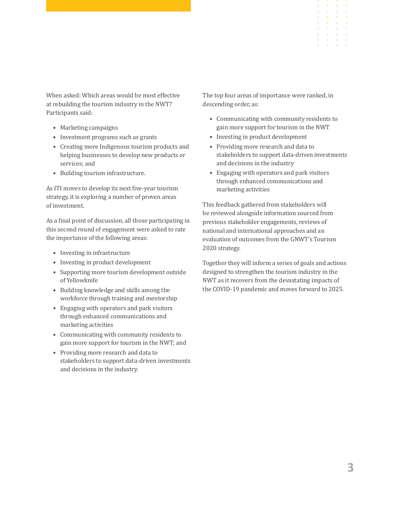When asked: Which areas would be most effective at rebuilding the tourism industry in the NWT? Participants said:

- Marketing campaigns
- Investment programs such as grants
- Creating more Indigenous tourism products and helping businesses to develop new products or services; and
- Building tourism infrastructure.

As ITI moves to develop its next five-year tourism strategy, it is exploring a number of proven areas of investment.

As a final point of discussion, all those participating in this second round of engagement were asked to rate the importance of the following areas:

- Investing in infrastructure
- Investing in product development
- Supporting more tourism development outside of Yellowknife
- Building knowledge and skills among the workforce through training and mentorship
- Engaging with operators and park visitors through enhanced communications and marketing activities
- Communicating with community residents to gain more support for tourism in the NWT; and
- Providing more research and data to stakeholders to support data-driven investments and decisions in the industry.

The top four areas of importance were ranked, in descending order, as:

- Communicating with community residents to gain more support for tourism in the NWT
- Investing in product development
- Providing more research and data to stakeholders to support data-driven investments and decisions in the industry
- Engaging with operators and park visitors through enhanced communications and marketing activities

This feedback gathered from stakeholders will be reviewed alongside information sourced from previous stakeholder engagements, reviews of national and international approaches and an evaluation of outcomes from the GNWT's Tourism 2020 strategy.

Together they will inform a series of goals and actions designed to strengthen the tourism industry in the NWT as it recovers from the devastating impacts of the COVID-19 pandemic and moves forward to 2025.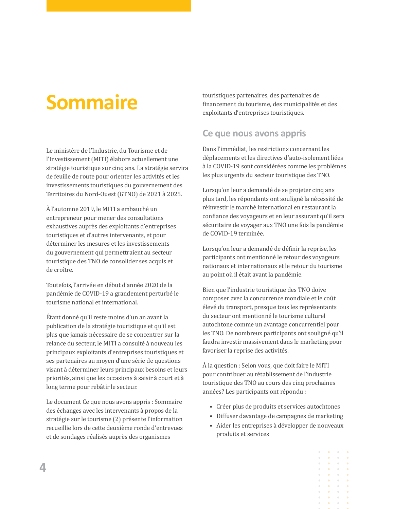# **Sommaire**

Le ministère de l'Industrie, du Tourisme et de l'Investissement (MITI) élabore actuellement une stratégie touristique sur cinq ans. La stratégie servira de feuille de route pour orienter les activités et les investissements touristiques du gouvernement des Territoires du Nord-Ouest (GTNO) de 2021 à 2025.

À l'automne 2019, le MITI a embauché un entrepreneur pour mener des consultations exhaustives auprès des exploitants d'entreprises touristiques et d'autres intervenants, et pour déterminer les mesures et les investissements du gouvernement qui permettraient au secteur touristique des TNO de consolider ses acquis et de croître.

Toutefois, l'arrivée en début d'année 2020 de la pandémie de COVID-19 a grandement perturbé le tourisme national et international.

Étant donné qu'il reste moins d'un an avant la publication de la stratégie touristique et qu'il est plus que jamais nécessaire de se concentrer sur la relance du secteur, le MITI a consulté à nouveau les principaux exploitants d'entreprises touristiques et ses partenaires au moyen d'une série de questions visant à déterminer leurs principaux besoins et leurs priorités, ainsi que les occasions à saisir à court et à long terme pour rebâtir le secteur.

Le document Ce que nous avons appris : Sommaire des échanges avec les intervenants à propos de la stratégie sur le tourisme (2) présente l'information recueillie lors de cette deuxième ronde d'entrevues et de sondages réalisés auprès des organismes

touristiques partenaires, des partenaires de financement du tourisme, des municipalités et des exploitants d'entreprises touristiques.

## **Ce que nous avons appris**

Dans l'immédiat, les restrictions concernant les déplacements et les directives d'auto-isolement liées à la COVID-19 sont considérées comme les problèmes les plus urgents du secteur touristique des TNO.

Lorsqu'on leur a demandé de se projeter cinq ans plus tard, les répondants ont souligné la nécessité de réinvestir le marché international en restaurant la confiance des voyageurs et en leur assurant qu'il sera sécuritaire de voyager aux TNO une fois la pandémie de COVID-19 terminée.

Lorsqu'on leur a demandé de définir la reprise, les participants ont mentionné le retour des voyageurs nationaux et internationaux et le retour du tourisme au point où il était avant la pandémie.

Bien que l'industrie touristique des TNO doive composer avec la concurrence mondiale et le coût élevé du transport, presque tous les représentants du secteur ont mentionné le tourisme culturel autochtone comme un avantage concurrentiel pour les TNO. De nombreux participants ont souligné qu'il faudra investir massivement dans le marketing pour favoriser la reprise des activités.

À la question : Selon vous, que doit faire le MITI pour contribuer au rétablissement de l'industrie touristique des TNO au cours des cinq prochaines années? Les participants ont répondu :

- Créer plus de produits et services autochtones
- Diffuser davantage de campagnes de marketing
- Aider les entreprises à développer de nouveaux produits et services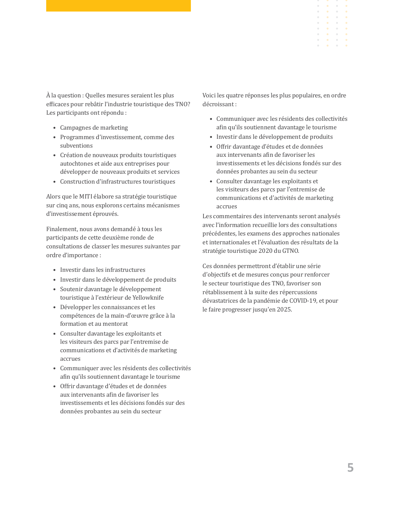À la question : Quelles mesures seraient les plus efficaces pour rebâtir l'industrie touristique des TNO? Les participants ont répondu :

- Campagnes de marketing
- Programmes d'investissement, comme des subventions
- Création de nouveaux produits touristiques autochtones et aide aux entreprises pour développer de nouveaux produits et services
- Construction d'infrastructures touristiques

Alors que le MITI élabore sa stratégie touristique sur cinq ans, nous explorons certains mécanismes d'investissement éprouvés.

Finalement, nous avons demandé à tous les participants de cette deuxième ronde de consultations de classer les mesures suivantes par ordre d'importance :

- Investir dans les infrastructures
- Investir dans le développement de produits
- Soutenir davantage le développement touristique à l'extérieur de Yellowknife
- Développer les connaissances et les compétences de la main-d'œuvre grâce à la formation et au mentorat
- Consulter davantage les exploitants et les visiteurs des parcs par l'entremise de communications et d'activités de marketing accrues
- Communiquer avec les résidents des collectivités afin qu'ils soutiennent davantage le tourisme
- Offrir davantage d'études et de données aux intervenants afin de favoriser les investissements et les décisions fondés sur des données probantes au sein du secteur

Voici les quatre réponses les plus populaires, en ordre décroissant :

- Communiquer avec les résidents des collectivités afin qu'ils soutiennent davantage le tourisme
- Investir dans le développement de produits
- Offrir davantage d'études et de données aux intervenants afin de favoriser les investissements et les décisions fondés sur des données probantes au sein du secteur
- Consulter davantage les exploitants et les visiteurs des parcs par l'entremise de communications et d'activités de marketing accrues

Les commentaires des intervenants seront analysés avec l'information recueillie lors des consultations précédentes, les examens des approches nationales et internationales et l'évaluation des résultats de la stratégie touristique 2020 du GTNO.

Ces données permettront d'établir une série d'objectifs et de mesures conçus pour renforcer le secteur touristique des TNO, favoriser son rétablissement à la suite des répercussions dévastatrices de la pandémie de COVID-19, et pour le faire progresser jusqu'en 2025.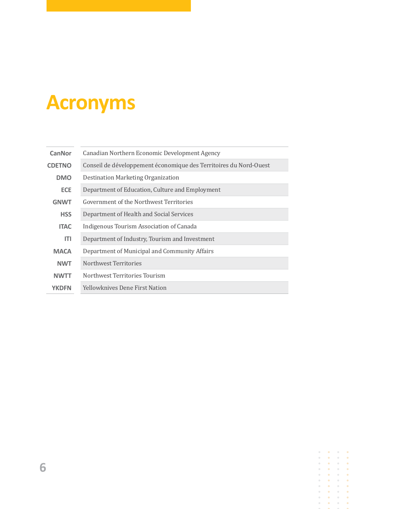# **Acronyms**

| CanNor        | Canadian Northern Economic Development Agency                     |
|---------------|-------------------------------------------------------------------|
| <b>CDETNO</b> | Conseil de développement économique des Territoires du Nord-Ouest |
| <b>DMO</b>    | Destination Marketing Organization                                |
| <b>ECE</b>    | Department of Education, Culture and Employment                   |
| <b>GNWT</b>   | Government of the Northwest Territories                           |
| <b>HSS</b>    | Department of Health and Social Services                          |
| <b>ITAC</b>   | Indigenous Tourism Association of Canada                          |
| ITI           | Department of Industry, Tourism and Investment                    |
| <b>MACA</b>   | Department of Municipal and Community Affairs                     |
| <b>NWT</b>    | Northwest Territories                                             |
| <b>NWTT</b>   | Northwest Territories Tourism                                     |
| <b>YKDFN</b>  | <b>Yellowknives Dene First Nation</b>                             |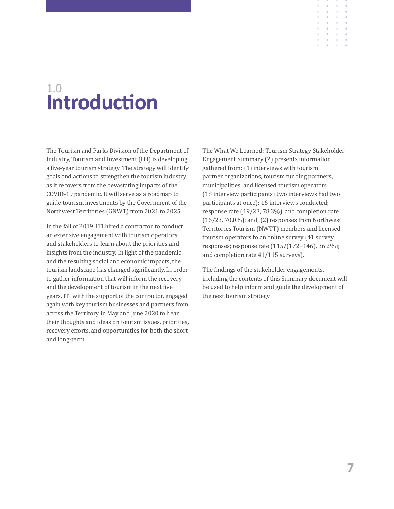## **Introduction** 1.0

The Tourism and Parks Division of the Department of Industry, Tourism and Investment (ITI) is developing a five-year tourism strategy. The strategy will identify goals and actions to strengthen the tourism industry as it recovers from the devastating impacts of the COVID-19 pandemic. It will serve as a roadmap to guide tourism investments by the Government of the Northwest Territories (GNWT) from 2021 to 2025.

In the fall of 2019, ITI hired a contractor to conduct an extensive engagement with tourism operators and stakeholders to learn about the priorities and insights from the industry. In light of the pandemic and the resulting social and economic impacts, the tourism landscape has changed significantly. In order to gather information that will inform the recovery and the development of tourism in the next five years, ITI with the support of the contractor, engaged again with key tourism businesses and partners from across the Territory in May and June 2020 to hear their thoughts and ideas on tourism issues, priorities, recovery efforts, and opportunities for both the shortand long-term.

The What We Learned: Tourism Strategy Stakeholder Engagement Summary (2) presents information gathered from: (1) interviews with tourism partner organizations, tourism funding partners, municipalities, and licensed tourism operators (18 interview participants (two interviews had two participants at once); 16 interviews conducted; response rate (19/23, 78.3%), and completion rate (16/23, 70.0%); and, (2) responses from Northwest Territories Tourism (NWTT) members and licensed tourism operators to an online survey (41 survey responses; response rate (115/(172+146), 36.2%); and completion rate 41/115 surveys).

The findings of the stakeholder engagements, including the contents of this Summary document will be used to help inform and guide the development of the next tourism strategy.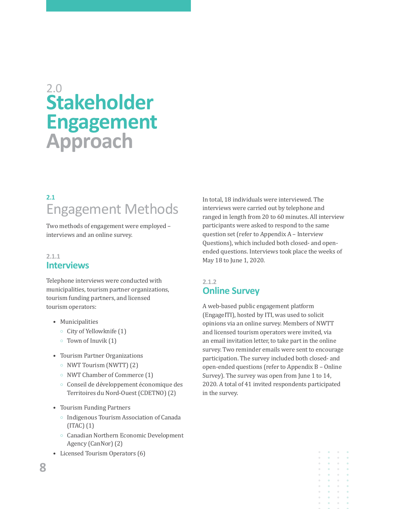# **Stakeholder Engagement Approach** 2.0

## **2.1** Engagement Methods

Two methods of engagement were employed – interviews and an online survey.

## **2.1.1 Interviews**

Telephone interviews were conducted with municipalities, tourism partner organizations, tourism funding partners, and licensed tourism operators:

- Municipalities
	- $\circ$  City of Yellowknife (1)
	- $\circ$  Town of Inuvik (1)
- Tourism Partner Organizations
	- { NWT Tourism (NWTT) (2)
	- NWT Chamber of Commerce (1)
	- $\circ$  Conseil de développement économique des Territoires du Nord-Ouest (CDETNO) (2)
- Tourism Funding Partners
	- Indigenous Tourism Association of Canada (ITAC) (1)
	- { Canadian Northern Economic Development Agency (CanNor) (2)
- Licensed Tourism Operators (6)

In total, 18 individuals were interviewed. The interviews were carried out by telephone and ranged in length from 20 to 60 minutes. All interview participants were asked to respond to the same question set (refer to Appendix A – Interview Questions), which included both closed- and openended questions. Interviews took place the weeks of May 18 to June 1, 2020.

## **2.1.2 Online Survey**

A web-based public engagement platform (EngageITI), hosted by ITI, was used to solicit opinions via an online survey. Members of NWTT and licensed tourism operators were invited, via an email invitation letter, to take part in the online survey. Two reminder emails were sent to encourage participation. The survey included both closed- and open-ended questions (refer to Appendix B – Online Survey). The survey was open from June 1 to 14, 2020. A total of 41 invited respondents participated in the survey.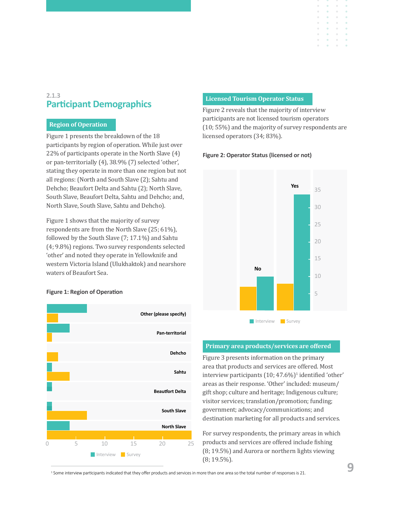## **2.1.3 Participant Demographics**

## **Region of Operation**

Figure 1 presents the breakdown of the 18 participants by region of operation. While just over 22% of participants operate in the North Slave (4) or pan-territorially (4), 38.9% (7) selected 'other', stating they operate in more than one region but not all regions: (North and South Slave (2); Sahtu and Dehcho; Beaufort Delta and Sahtu (2); North Slave, South Slave, Beaufort Delta, Sahtu and Dehcho; and, North Slave, South Slave, Sahtu and Dehcho).

Figure 1 shows that the majority of survey respondents are from the North Slave (25; 61%), followed by the South Slave (7; 17.1%) and Sahtu (4; 9.8%) regions. Two survey respondents selected 'other' and noted they operate in Yellowknife and western Victoria Island (Ulukhaktok) and nearshore waters of Beaufort Sea.

#### **Figure 1: Region of Operation**



#### **Licensed Tourism Operator Status**

Figure 2 reveals that the majority of interview participants are not licensed tourism operators (10; 55%) and the majority of survey respondents are licensed operators (34; 83%).

#### **Figure 2: Operator Status (licensed or not)**



#### **Primary area products/services are offered**

Figure 3 presents information on the primary area that products and services are offered. Most interview participants (10;  $47.6\%)$ <sup>1</sup> identified 'other' areas as their response. 'Other' included: museum/ gift shop; culture and heritage; Indigenous culture; visitor services; translation/promotion; funding; government; advocacy/communications; and destination marketing for all products and services.

For survey respondents, the primary areas in which products and services are offered include fishing (8; 19.5%) and Aurora or northern lights viewing (8; 19.5%).

<sup>1</sup> Some interview participants indicated that they offer products and services in more than one area so the total number of responses is 21.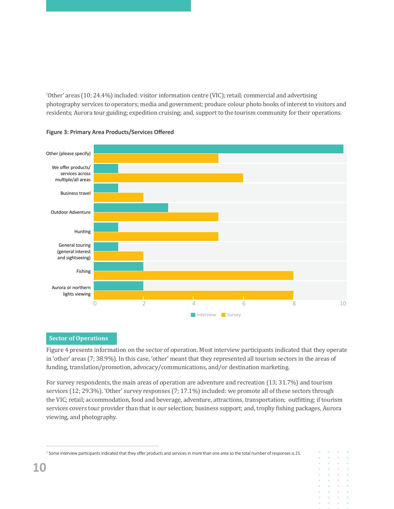'Other' areas (10; 24.4%) included: visitor information centre (VIC); retail; commercial and advertising photography services to operators; media and government; produce colour photo books of interest to visitors and residents; Aurora tour guiding; expedition cruising; and, support to the tourism community for their operations.





## **Sector of Operations**

Figure 4 presents information on the sector of operation. Most interview participants indicated that they operate in 'other' areas (7; 38.9%). In this case, 'other' meant that they represented all tourism sectors in the areas of funding, translation/promotion, advocacy/communications, and/or destination marketing.

For survey respondents, the main areas of operation are adventure and recreation (13; 31.7%) and tourism services (12; 29.3%). 'Other' survey responses (7; 17.1%) included: we promote all of these sectors through the VIC; retail; accommodation, food and beverage, adventure, attractions, transportation; outfitting; if tourism services covers tour provider than that is our selection; business support; and, trophy fishing packages, Aurora viewing, and photography.

 $\alpha$ 

<sup>&</sup>lt;sup>1</sup> Some interview participants indicated that they offer products and services in more than one area so the total number of responses is 21.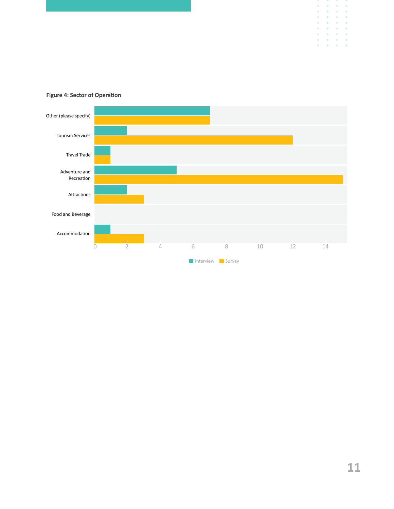

## **Figure 4: Sector of Operation**

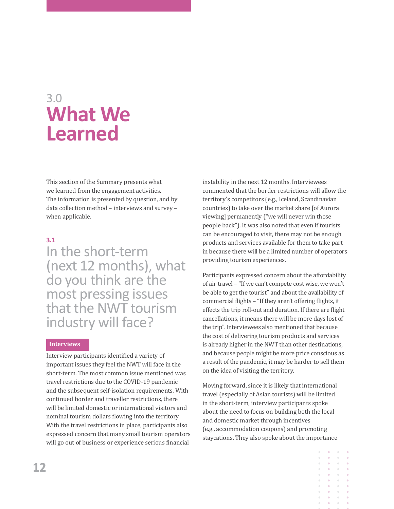# 3.0 **What We Learned**

This section of the Summary presents what we learned from the engagement activities. The information is presented by question, and by data collection method – interviews and survey – when applicable.

## **3.1**

## In the short-term (next 12 months), what do you think are the most pressing issues that the NWT tourism industry will face?

#### **Interviews**

Interview participants identified a variety of important issues they feel the NWT will face in the short-term. The most common issue mentioned was travel restrictions due to the COVID-19 pandemic and the subsequent self-isolation requirements. With continued border and traveller restrictions, there will be limited domestic or international visitors and nominal tourism dollars flowing into the territory. With the travel restrictions in place, participants also expressed concern that many small tourism operators will go out of business or experience serious financial

instability in the next 12 months. Interviewees commented that the border restrictions will allow the territory's competitors (e.g., Iceland, Scandinavian countries) to take over the market share [of Aurora viewing] permanently ("we will never win those people back"). It was also noted that even if tourists can be encouraged to visit, there may not be enough products and services available for them to take part in because there will be a limited number of operators providing tourism experiences.

Participants expressed concern about the affordability of air travel – "If we can't compete cost wise, we won't be able to get the tourist" and about the availability of commercial flights – "If they aren't offering flights, it effects the trip roll-out and duration. If there are flight cancellations, it means there will be more days lost of the trip". Interviewees also mentioned that because the cost of delivering tourism products and services is already higher in the NWT than other destinations, and because people might be more price conscious as a result of the pandemic, it may be harder to sell them on the idea of visiting the territory.

Moving forward, since it is likely that international travel (especially of Asian tourists) will be limited in the short-term, interview participants spoke about the need to focus on building both the local and domestic market through incentives (e.g., accommodation coupons) and promoting staycations. They also spoke about the importance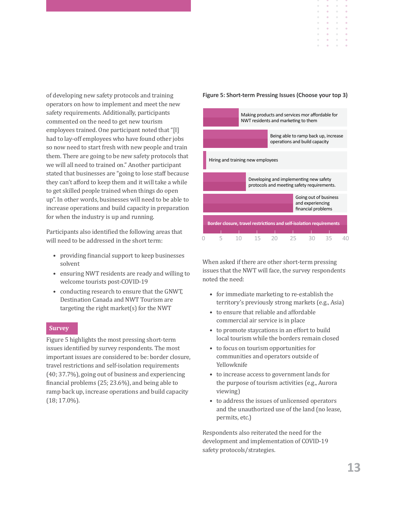of developing new safety protocols and training operators on how to implement and meet the new safety requirements. Additionally, participants commented on the need to get new tourism employees trained. One participant noted that "[I] had to lay-off employees who have found other jobs so now need to start fresh with new people and train them. There are going to be new safety protocols that we will all need to trained on." Another participant stated that businesses are "going to lose staff because they can't afford to keep them and it will take a while to get skilled people trained when things do open up". In other words, businesses will need to be able to increase operations and build capacity in preparation for when the industry is up and running.

Participants also identified the following areas that will need to be addressed in the short term:

- providing financial support to keep businesses solvent
- ensuring NWT residents are ready and willing to welcome tourists post-COVID-19
- conducting research to ensure that the GNWT, Destination Canada and NWT Tourism are targeting the right market(s) for the NWT

### **Survey**

Figure 5 highlights the most pressing short-term issues identified by survey respondents. The most important issues are considered to be: border closure, travel restrictions and self-isolation requirements (40; 37.7%), going out of business and experiencing financial problems (25; 23.6%), and being able to ramp back up, increase operations and build capacity (18; 17.0%).

#### **Figure 5: Short-term Pressing Issues (Choose your top 3)**

 $\ddot{\phantom{a}}$  $\bar{\phantom{a}}$  $\bar{0}$  $\alpha$  $\alpha$  $\alpha$ 

 $\alpha$  $\alpha$  $\alpha$ 



When asked if there are other short-term pressing issues that the NWT will face, the survey respondents noted the need:

- for immediate marketing to re-establish the territory's previously strong markets (e.g., Asia)
- to ensure that reliable and affordable commercial air service is in place
- to promote staycations in an effort to build local tourism while the borders remain closed
- to focus on tourism opportunities for communities and operators outside of Yellowknife
- to increase access to government lands for the purpose of tourism activities (e.g., Aurora viewing)
- to address the issues of unlicensed operators and the unauthorized use of the land (no lease, permits, etc.)

Respondents also reiterated the need for the development and implementation of COVID-19 safety protocols/strategies.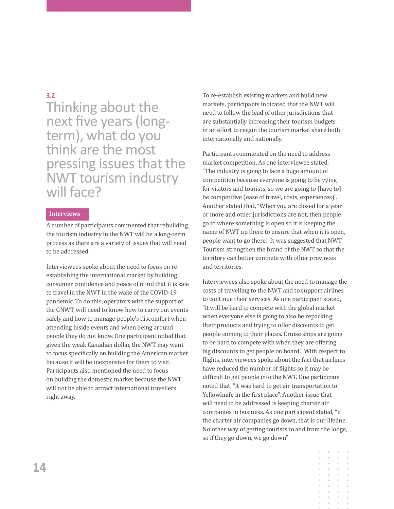## **3.2**

Thinking about the next five years (longterm), what do you think are the most pressing issues that the NWT tourism industry will face?

## **Interviews**

A number of participants commented that rebuilding the tourism industry in the NWT will be a long-term process as there are a variety of issues that will need to be addressed.

Interviewees spoke about the need to focus on reestablishing the international market by building consumer confidence and peace of mind that it is safe to travel in the NWT in the wake of the COVID-19 pandemic. To do this, operators with the support of the GNWT, will need to know how to carry out events safely and how to manage people's discomfort when attending inside events and when being around people they do not know. One participant noted that given the weak Canadian dollar, the NWT may want to focus specifically on building the American market because it will be inexpensive for them to visit. Participants also mentioned the need to focus on building the domestic market because the NWT will not be able to attract international travellers right away.

To re-establish existing markets and build new markets, participants indicated that the NWT will need to follow the lead of other jurisdictions that are substantially increasing their tourism budgets in an effort to regain the tourism market share both internationally and nationally.

Participants commented on the need to address market competition. As one interviewee stated, "The industry is going to face a huge amount of competition because everyone is going to be vying for visitors and tourists, so we are going to [have to] be competitive (ease of travel, costs, experiences)". Another stated that, "When you are closed for a year or more and other jurisdictions are not, then people go to where something is open so it is keeping the name of NWT up there to ensure that when it is open, people want to go there." It was suggested that NWT Tourism strengthen the brand of the NWT so that the territory can better compete with other provinces and territories.

Interviewees also spoke about the need to manage the costs of travelling to the NWT and to support airlines to continue their services. As one participant stated, "it will be hard to compete with the global market when everyone else is going to also be repacking their products and trying to offer discounts to get people coming to their places. Cruise ships are going to be hard to compete with when they are offering big discounts to get people on board." With respect to flights, interviewees spoke about the fact that airlines have reduced the number of flights so it may be difficult to get people into the NWT. One participant noted that, "it was hard to get air transportation to Yellowknife in the first place". Another issue that will need to be addressed is keeping charter air companies in business. As one participant stated, "if the charter air companies go down, that is our lifeline. No other way of getting tourists to and from the lodge, so if they go down, we go down".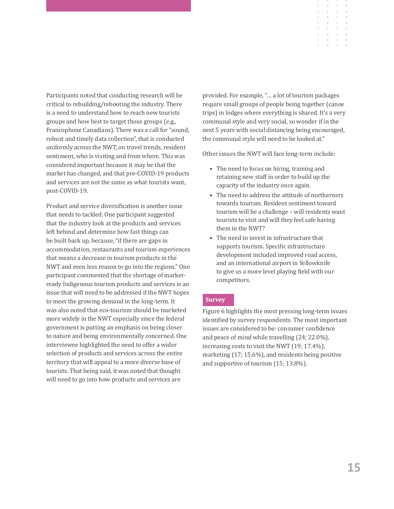Participants noted that conducting research will be critical to rebuilding/rebooting the industry. There is a need to understand how to reach new tourists groups and how best to target those groups (e.g., Francophone Canadians). There was a call for "sound, robust and timely data collection", that is conducted uniformly across the NWT, on travel trends, resident sentiment, who is visiting and from where. This was considered important because it may be that the market has changed, and that pre-COVID-19 products and services are not the same as what tourists want, post-COVID-19.

Product and service diversification is another issue that needs to tackled. One participant suggested that the industry look at the products and services left behind and determine how fast things can be built back up, because, "if there are gaps in accommodation, restaurants and tourism experiences that means a decrease in tourism products in the NWT and even less reason to go into the regions." One participant commented that the shortage of marketready Indigenous tourism products and services is an issue that will need to be addressed if the NWT hopes to meet the growing demand in the long-term. It was also noted that eco-tourism should be marketed more widely in the NWT especially since the federal government is putting an emphasis on being closer to nature and being environmentally concerned. One interviewee highlighted the need to offer a wider selection of products and services across the entire territory that will appeal to a more diverse base of tourists. That being said, it was noted that thought will need to go into how products and services are

provided. For example, "… a lot of tourism packages require small groups of people being together (canoe trips) in lodges where everything is shared. It's a very communal style and very social, so wonder if in the next 5 years with social distancing being encouraged, the communal style will need to be looked at."

 $\ddot{\phantom{a}}$  $\bar{0}$ 

Other issues the NWT will face long-term include:

- The need to focus on hiring, training and retaining new staff in order to build up the capacity of the industry once again.
- The need to address the attitude of northerners towards tourism. Resident sentiment toward tourism will be a challenge – will residents want tourists to visit and will they feel safe having them in the NWT?
- The need to invest in infrastructure that supports tourism. Specific infrastructure development included improved road access, and an international airport in Yellowknife to give us a more level playing field with our competitors.

## **Survey**

Figure 6 highlights the most pressing long-term issues identified by survey respondents. The most important issues are considered to be: consumer confidence and peace of mind while travelling (24; 22.0%), increasing costs to visit the NWT (19; 17.4%), marketing (17; 15.6%), and residents being positive and supportive of tourism (15; 13.8%).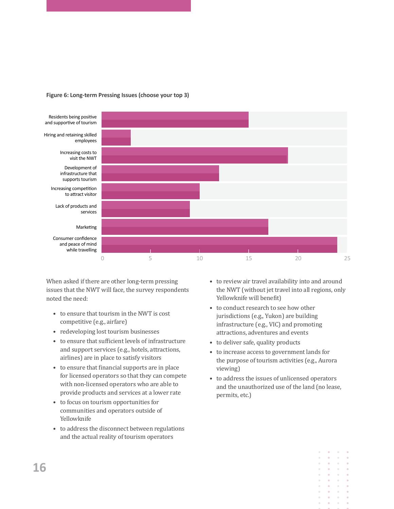

#### **Figure 6: Long-term Pressing Issues (choose your top 3)**

When asked if there are other long-term pressing issues that the NWT will face, the survey respondents noted the need:

- to ensure that tourism in the NWT is cost competitive (e.g., airfare)
- redeveloping lost tourism businesses
- to ensure that sufficient levels of infrastructure and support services (e.g., hotels, attractions, airlines) are in place to satisfy visitors
- to ensure that financial supports are in place for licensed operators so that they can compete with non-licensed operators who are able to provide products and services at a lower rate
- to focus on tourism opportunities for communities and operators outside of Yellowknife
- to address the disconnect between regulations and the actual reality of tourism operators
- to review air travel availability into and around the NWT (without jet travel into all regions, only Yellowknife will benefit)
- to conduct research to see how other jurisdictions (e.g., Yukon) are building infrastructure (e.g., VIC) and promoting attractions, adventures and events
- to deliver safe, quality products
- to increase access to government lands for the purpose of tourism activities (e.g., Aurora viewing)
- to address the issues of unlicensed operators and the unauthorized use of the land (no lease, permits, etc.)

 $\bullet$ 

 $\ddot{\phantom{a}}$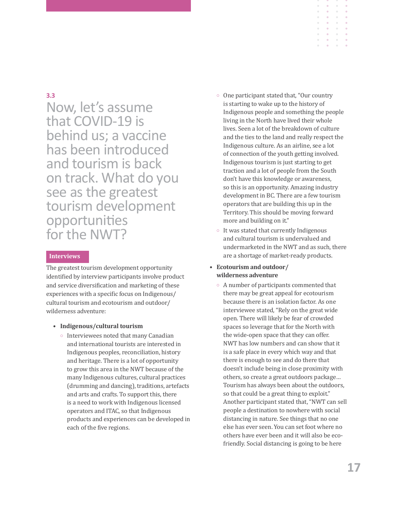## **3.3**

Now, let's assume that COVID-19 is behind us; a vaccine has been introduced and tourism is back on track. What do you see as the greatest tourism development opportunities for the NWT?

## **Interviews**

The greatest tourism development opportunity identified by interview participants involve product and service diversification and marketing of these experiences with a specific focus on Indigenous/ cultural tourism and ecotourism and outdoor/ wilderness adventure:

#### • **Indigenous/cultural tourism**

**Interviewees noted that many Canadian** and international tourists are interested in Indigenous peoples, reconciliation, history and heritage. There is a lot of opportunity to grow this area in the NWT because of the many Indigenous cultures, cultural practices (drumming and dancing), traditions, artefacts and arts and crafts. To support this, there is a need to work with Indigenous licensed operators and ITAC, so that Indigenous products and experiences can be developed in each of the five regions.

- One participant stated that, "Our country is starting to wake up to the history of Indigenous people and something the people living in the North have lived their whole lives. Seen a lot of the breakdown of culture and the ties to the land and really respect the Indigenous culture. As an airline, see a lot of connection of the youth getting involved. Indigenous tourism is just starting to get traction and a lot of people from the South don't have this knowledge or awareness, so this is an opportunity. Amazing industry development in BC. There are a few tourism operators that are building this up in the Territory. This should be moving forward more and building on it."
- $\circ$  It was stated that currently Indigenous and cultural tourism is undervalued and undermarketed in the NWT and as such, there are a shortage of market-ready products.

## **• Ecotourism and outdoor/ wilderness adventure**

 $\circ$  A number of participants commented that there may be great appeal for ecotourism because there is an isolation factor. As one interviewee stated, "Rely on the great wide open. There will likely be fear of crowded spaces so leverage that for the North with the wide-open space that they can offer. NWT has low numbers and can show that it is a safe place in every which way and that there is enough to see and do there that doesn't include being in close proximity with others, so create a great outdoors package… Tourism has always been about the outdoors, so that could be a great thing to exploit." Another participant stated that, "NWT can sell people a destination to nowhere with social distancing in nature. See things that no one else has ever seen. You can set foot where no others have ever been and it will also be ecofriendly. Social distancing is going to be here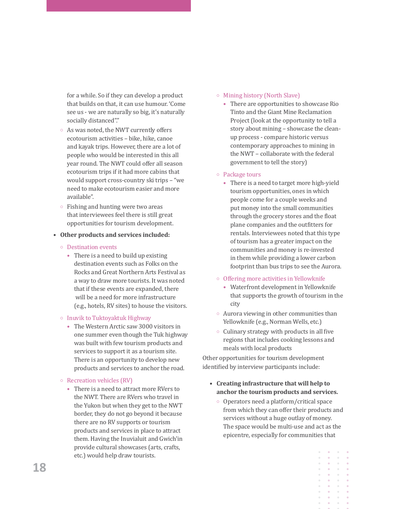for a while. So if they can develop a product that builds on that, it can use humour. 'Come see us - we are naturally so big, it's naturally socially distanced"."

- $\circ$  As was noted, the NWT currently offers ecotourism activities – bike, hike, canoe and kayak trips. However, there are a lot of people who would be interested in this all year round. The NWT could offer all season ecotourism trips if it had more cabins that would support cross-country ski trips – "we need to make ecotourism easier and more available".
- $\circ$  Fishing and hunting were two areas that interviewees feel there is still great opportunities for tourism development.
- **• Other products and services included:**
	- { Destination events
		- There is a need to build up existing destination events such as Folks on the Rocks and Great Northern Arts Festival as a way to draw more tourists. It was noted that if these events are expanded, there will be a need for more infrastructure (e.g., hotels, RV sites) to house the visitors.

#### <sup>o</sup> Inuvik to Tuktoyaktuk Highway

- The Western Arctic saw 3000 visitors in one summer even though the Tuk highway was built with few tourism products and services to support it as a tourism site. There is an opportunity to develop new products and services to anchor the road.
- $\circ$  Recreation vehicles (RV)
	- There is a need to attract more RVers to the NWT. There are RVers who travel in the Yukon but when they get to the NWT border, they do not go beyond it because there are no RV supports or tourism products and services in place to attract them. Having the Inuvialuit and Gwich'in provide cultural showcases (arts, crafts, etc.) would help draw tourists.

## $\circ$  Mining history (North Slave)

• There are opportunities to showcase Rio Tinto and the Giant Mine Reclamation Project (look at the opportunity to tell a story about mining – showcase the cleanup process - compare historic versus contemporary approaches to mining in the NWT – collaborate with the federal government to tell the story)

### { Package tours

- There is a need to target more high-yield tourism opportunities, ones in which people come for a couple weeks and put money into the small communities through the grocery stores and the float plane companies and the outfitters for rentals. Interviewees noted that this type of tourism has a greater impact on the communities and money is re-invested in them while providing a lower carbon footprint than bus trips to see the Aurora.
- $\circ$  Offering more activities in Yellowknife
	- Waterfront development in Yellowknife that supports the growth of tourism in the city
- $\circ$  Aurora viewing in other communities than Yellowknife (e.g., Norman Wells, etc.)
- $\circ$  Culinary strategy with products in all five regions that includes cooking lessons and meals with local products

Other opportunities for tourism development identified by interview participants include:

- **• Creating infrastructure that will help to anchor the tourism products and services.** 
	- Operators need a platform/critical space from which they can offer their products and services without a huge outlay of money. The space would be multi-use and act as the epicentre, especially for communities that

 $\mathbf{a}$  , and  $\mathbf{a}$  $\sim$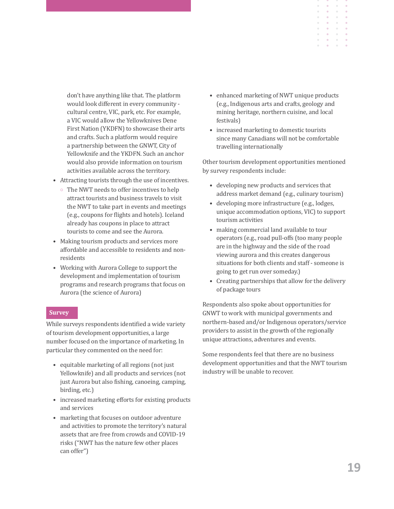don't have anything like that. The platform would look different in every community cultural centre, VIC, park, etc. For example, a VIC would allow the Yellowknives Dene First Nation (YKDFN) to showcase their arts and crafts. Such a platform would require a partnership between the GNWT, City of Yellowknife and the YKDFN. Such an anchor would also provide information on tourism activities available across the territory.

- Attracting tourists through the use of incentives.
	- $\circ$  The NWT needs to offer incentives to help attract tourists and business travels to visit the NWT to take part in events and meetings (e.g., coupons for flights and hotels). Iceland already has coupons in place to attract tourists to come and see the Aurora.
- Making tourism products and services more affordable and accessible to residents and nonresidents
- Working with Aurora College to support the development and implementation of tourism programs and research programs that focus on Aurora (the science of Aurora)

#### **Survey**

While surveys respondents identified a wide variety of tourism development opportunities, a large number focused on the importance of marketing. In particular they commented on the need for:

- equitable marketing of all regions (not just Yellowknife) and all products and services (not just Aurora but also fishing, canoeing, camping, birding, etc.)
- increased marketing efforts for existing products and services
- marketing that focuses on outdoor adventure and activities to promote the territory's natural assets that are free from crowds and COVID-19 risks ("NWT has the nature few other places can offer")

• enhanced marketing of NWT unique products (e.g., Indigenous arts and crafts, geology and mining heritage, northern cuisine, and local festivals)

 $\ddot{\phantom{a}}$  $\circ$ 

• increased marketing to domestic tourists since many Canadians will not be comfortable travelling internationally

Other tourism development opportunities mentioned by survey respondents include:

- developing new products and services that address market demand (e.g., culinary tourism)
- developing more infrastructure (e.g., lodges, unique accommodation options, VIC) to support tourism activities
- making commercial land available to tour operators (e.g., road pull-offs (too many people are in the highway and the side of the road viewing aurora and this creates dangerous situations for both clients and staff - someone is going to get run over someday.)
- Creating partnerships that allow for the delivery of package tours

Respondents also spoke about opportunities for GNWT to work with municipal governments and northern-based and/or Indigenous operators/service providers to assist in the growth of the regionally unique attractions, adventures and events.

Some respondents feel that there are no business development opportunities and that the NWT tourism industry will be unable to recover.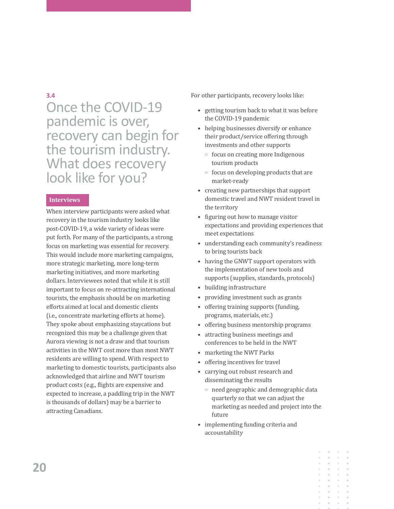## **3.4**

Once the COVID-19 pandemic is over, recovery can begin for the tourism industry. What does recovery look like for you?

## **Interviews**

When interview participants were asked what recovery in the tourism industry looks like post-COVID-19, a wide variety of ideas were put forth. For many of the participants, a strong focus on marketing was essential for recovery. This would include more marketing campaigns, more strategic marketing, more long-term marketing initiatives, and more marketing dollars. Interviewees noted that while it is still important to focus on re-attracting international tourists, the emphasis should be on marketing efforts aimed at local and domestic clients (i.e., concentrate marketing efforts at home). They spoke about emphasizing staycations but recognized this may be a challenge given that Aurora viewing is not a draw and that tourism activities in the NWT cost more than most NWT residents are willing to spend. With respect to marketing to domestic tourists, participants also acknowledged that airline and NWT tourism product costs (e.g., flights are expensive and expected to increase, a paddling trip in the NWT is thousands of dollars) may be a barrier to attracting Canadians.

For other participants, recovery looks like:

- getting tourism back to what it was before the COVID-19 pandemic
- helping businesses diversify or enhance their product/service offering through investments and other supports
	- $\circ$  focus on creating more Indigenous tourism products
	- $\circ$  focus on developing products that are market-ready
- creating new partnerships that support domestic travel and NWT resident travel in the territory
- figuring out how to manage visitor expectations and providing experiences that meet expectations
- understanding each community's readiness to bring tourists back
- having the GNWT support operators with the implementation of new tools and supports (supplies, standards, protocols)
- building infrastructure
- providing investment such as grants
- offering training supports (funding, programs, materials, etc.)
- offering business mentorship programs
- attracting business meetings and conferences to be held in the NWT
- marketing the NWT Parks
- offering incentives for travel
- carrying out robust research and disseminating the results
	- $\circ$  need geographic and demographic data quarterly so that we can adjust the marketing as needed and project into the future
- implementing funding criteria and accountability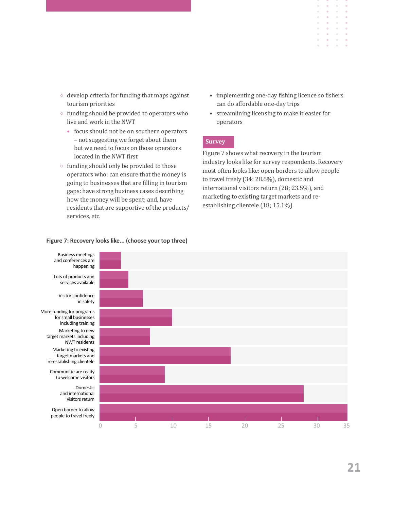- $\circ$  develop criteria for funding that maps against tourism priorities
- funding should be provided to operators who live and work in the NWT
	- focus should not be on southern operators – not suggesting we forget about them but we need to focus on those operators located in the NWT first
- $\circ$  funding should only be provided to those operators who: can ensure that the money is going to businesses that are filling in tourism gaps: have strong business cases describing how the money will be spent; and, have residents that are supportive of the products/ services, etc.

#### **Figure 7: Recovery looks like... (choose your top three)**



 $\bar{\alpha}$ 

 $\alpha$  $\alpha$  $\alpha$ 

 $\alpha$  $\alpha$ 

 $\hat{\mathbf{0}}$ 

 $\alpha$ 

 $\alpha$ 

 $\sim$ 

 $\alpha$  $\alpha$ 

 $\alpha$  $\alpha$ 

 $\bar{a}$ 

 $\alpha$ 

 $\circ$  $\sim$  $\alpha$  $\alpha$ 

 $\bullet$ 

 $\alpha$ **COLL** 

 $\bar{\alpha}$ 

 $\sim$ 

 $\hat{\mathbf{e}}$  $\alpha$ 

 $\alpha$  .  $\alpha$ 

• streamlining licensing to make it easier for operators

## **Survey**

Figure 7 shows what recovery in the tourism industry looks like for survey respondents. Recovery most often looks like: open borders to allow people to travel freely (34: 28.6%), domestic and international visitors return (28; 23.5%), and marketing to existing target markets and reestablishing clientele (18; 15.1%).

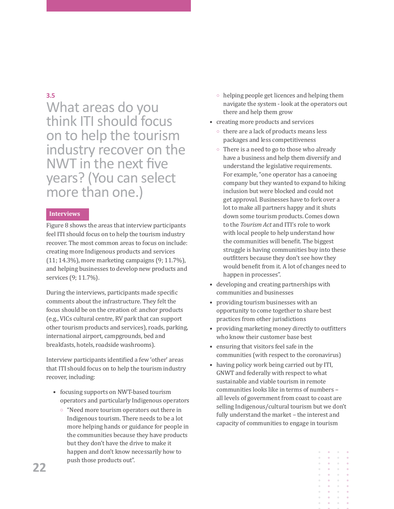## **3.5**

What areas do you think ITI should focus on to help the tourism industry recover on the NWT in the next five years? (You can select more than one.)

## **Interviews**

Figure 8 shows the areas that interview participants feel ITI should focus on to help the tourism industry recover. The most common areas to focus on include: creating more Indigenous products and services (11; 14.3%), more marketing campaigns (9; 11.7%), and helping businesses to develop new products and services (9; 11.7%).

During the interviews, participants made specific comments about the infrastructure. They felt the focus should be on the creation of: anchor products (e.g., VICs cultural centre, RV park that can support other tourism products and services), roads, parking, international airport, campgrounds, bed and breakfasts, hotels, roadside washrooms).

Interview participants identified a few 'other' areas that ITI should focus on to help the tourism industry recover, including:

- focusing supports on NWT-based tourism operators and particularly Indigenous operators
	- $\circ$  "Need more tourism operators out there in Indigenous tourism. There needs to be a lot more helping hands or guidance for people in the communities because they have products but they don't have the drive to make it happen and don't know necessarily how to push those products out".
- $\circ$  helping people get licences and helping them navigate the system - look at the operators out there and help them grow
- creating more products and services
	- $\circ$  there are a lack of products means less packages and less competitiveness
	- $\circ$  There is a need to go to those who already have a business and help them diversify and understand the legislative requirements. For example, "one operator has a canoeing company but they wanted to expand to hiking inclusion but were blocked and could not get approval. Businesses have to fork over a lot to make all partners happy and it shuts down some tourism products. Comes down to the *Tourism Act* and ITI's role to work with local people to help understand how the communities will benefit. The biggest struggle is having communities buy into these outfitters because they don't see how they would benefit from it. A lot of changes need to happen in processes".
- developing and creating partnerships with communities and businesses
- providing tourism businesses with an opportunity to come together to share best practices from other jurisdictions
- providing marketing money directly to outfitters who know their customer base best
- ensuring that visitors feel safe in the communities (with respect to the coronavirus)
- having policy work being carried out by ITI, GNWT and federally with respect to what sustainable and viable tourism in remote communities looks like in terms of numbers – all levels of government from coast to coast are selling Indigenous/cultural tourism but we don't fully understand the market – the interest and capacity of communities to engage in tourism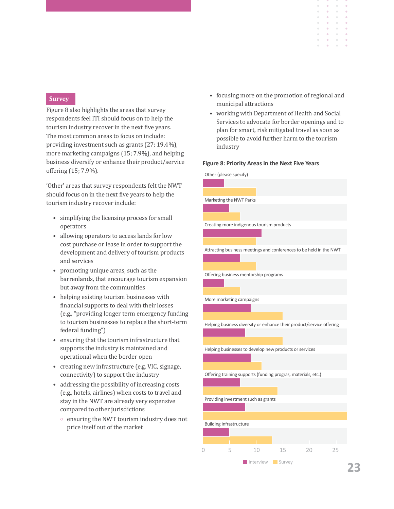#### **Survey**

Figure 8 also highlights the areas that survey respondents feel ITI should focus on to help the tourism industry recover in the next five years. The most common areas to focus on include: providing investment such as grants (27; 19.4%), more marketing campaigns (15; 7.9%), and helping business diversify or enhance their product/service offering (15; 7.9%).

'Other' areas that survey respondents felt the NWT should focus on in the next five years to help the tourism industry recover include:

- simplifying the licensing process for small operators
- allowing operators to access lands for low cost purchase or lease in order to support the development and delivery of tourism products and services
- promoting unique areas, such as the barrenlands, that encourage tourism expansion but away from the communities
- helping existing tourism businesses with financial supports to deal with their losses (e.g., "providing longer term emergency funding to tourism businesses to replace the short-term federal funding")
- ensuring that the tourism infrastructure that supports the industry is maintained and operational when the border open
- creating new infrastructure (e.g. VIC, signage, connectivity) to support the industry
- addressing the possibility of increasing costs (e.g., hotels, airlines) when costs to travel and stay in the NWT are already very expensive compared to other jurisdictions
	- $\circ$  ensuring the NWT tourism industry does not price itself out of the market
- focusing more on the promotion of regional and municipal attractions
- working with Department of Health and Social Services to advocate for border openings and to plan for smart, risk mitigated travel as soon as possible to avoid further harm to the tourism industry

#### **Figure 8: Priority Areas in the Next Five Years**

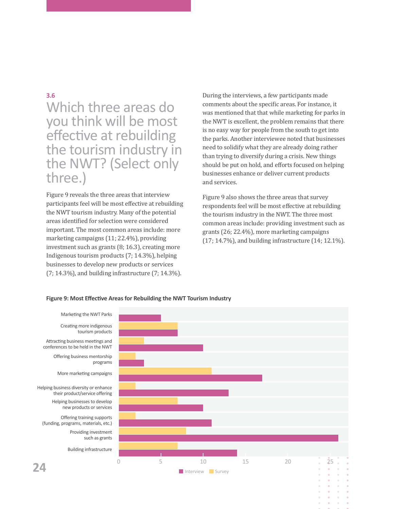## **3.6**

## Which three areas do you think will be most effective at rebuilding the tourism industry in the NWT? (Select only three.)

Figure 9 reveals the three areas that interview participants feel will be most effective at rebuilding the NWT tourism industry. Many of the potential areas identified for selection were considered important. The most common areas include: more marketing campaigns (11; 22.4%), providing investment such as grants (8; 16.3), creating more Indigenous tourism products (7; 14.3%), helping businesses to develop new products or services (7; 14.3%), and building infrastructure (7; 14.3%).

During the interviews, a few participants made comments about the specific areas. For instance, it was mentioned that that while marketing for parks in the NWT is excellent, the problem remains that there is no easy way for people from the south to get into the parks. Another interviewee noted that businesses need to solidify what they are already doing rather than trying to diversify during a crisis. New things should be put on hold, and efforts focused on helping businesses enhance or deliver current products and services.

Figure 9 also shows the three areas that survey respondents feel will be most effective at rebuilding the tourism industry in the NWT. The three most common areas include: providing investment such as grants (26; 22.4%), more marketing campaigns (17; 14.7%), and building infrastructure (14; 12.1%).

#### **Figure 9: Most Effective Areas for Rebuilding the NWT Tourism Industry**

Creating more indigenous tourism products Attracting business meetings and conferences to be held in the NWT Offering business mentorship programs More marketing campaigns Helping business diversity or enhance their product/service offering Helping businesses to develop new products or services Offering training supports (funding, programs, materials, etc.) Providing investment

such as grants

Building infrastructure

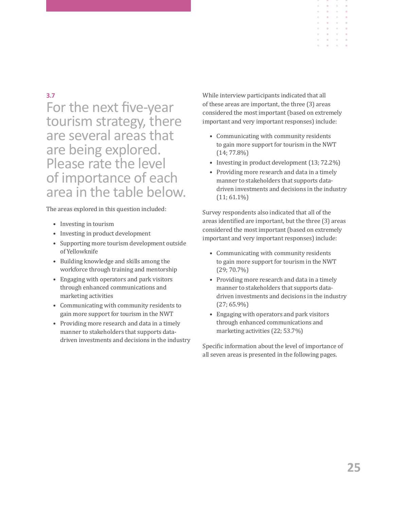## **3.7**

For the next five-year tourism strategy, there are several areas that are being explored. Please rate the level of importance of each area in the table below.

The areas explored in this question included:

- Investing in tourism
- Investing in product development
- Supporting more tourism development outside of Yellowknife
- Building knowledge and skills among the workforce through training and mentorship
- Engaging with operators and park visitors through enhanced communications and marketing activities
- Communicating with community residents to gain more support for tourism in the NWT
- Providing more research and data in a timely manner to stakeholders that supports datadriven investments and decisions in the industry

While interview participants indicated that all of these areas are important, the three (3) areas considered the most important (based on extremely important and very important responses) include:

- Communicating with community residents to gain more support for tourism in the NWT (14; 77.8%)
- Investing in product development (13; 72.2%)
- Providing more research and data in a timely manner to stakeholders that supports datadriven investments and decisions in the industry  $(11; 61.1\%)$

Survey respondents also indicated that all of the areas identified are important, but the three (3) areas considered the most important (based on extremely important and very important responses) include:

- Communicating with community residents to gain more support for tourism in the NWT (29; 70.7%)
- Providing more research and data in a timely manner to stakeholders that supports datadriven investments and decisions in the industry (27; 65.9%)
- Engaging with operators and park visitors through enhanced communications and marketing activities (22; 53.7%)

Specific information about the level of importance of all seven areas is presented in the following pages.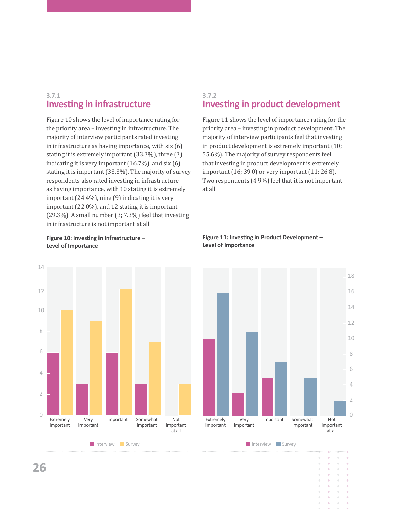## **3.7.1 Investing in infrastructure**

Figure 10 shows the level of importance rating for the priority area – investing in infrastructure. The majority of interview participants rated investing in infrastructure as having importance, with six (6) stating it is extremely important (33.3%), three (3) indicating it is very important (16.7%), and six (6) stating it is important (33.3%). The majority of survey respondents also rated investing in infrastructure as having importance, with 10 stating it is extremely important (24.4%), nine (9) indicating it is very important (22.0%), and 12 stating it is important (29.3%). A small number (3; 7.3%) feel that investing in infrastructure is not important at all.

**Figure 10: Investing in Infrastructure – Level of Importance**



## **3.7.2 Investing in product development**

Figure 11 shows the level of importance rating for the priority area – investing in product development. The majority of interview participants feel that investing in product development is extremely important (10; 55.6%). The majority of survey respondents feel that investing in product development is extremely important (16; 39.0) or very important (11; 26.8). Two respondents (4.9%) feel that it is not important at all.



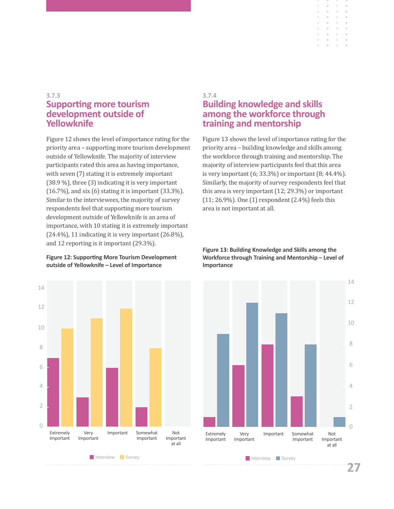## **3.7.3 Supporting more tourism development outside of Yellowknife**

Figure 12 shows the level of importance rating for the priority area – supporting more tourism development outside of Yellowknife. The majority of interview participants rated this area as having importance, with seven (7) stating it is extremely important (38.9 %), three (3) indicating it is very important (16.7%), and six (6) stating it is important (33.3%). Similar to the interviewees, the majority of survey respondents feel that supporting more tourism development outside of Yellowknife is an area of importance, with 10 stating it is extremely important (24.4%), 11 indicating it is very important (26.8%), and 12 reporting is it important (29.3%).

### **Figure 12: Supporting More Tourism Development outside of Yellowknife – Level of Importance**



## **3.7.4 Building knowledge and skills among the workforce through training and mentorship**

 $\alpha$  $\alpha$  $\ddot{\phantom{a}}$ 

 $\bar{\phantom{a}}$  $\bar{0}$  $\hat{\mathbf{u}}$  $\bar{\theta}$  $\alpha$ 

 $\alpha$  $\alpha$ 

 $\alpha$  $\alpha$  $\bar{0}$ 

Figure 13 shows the level of importance rating for the priority area – building knowledge and skills among the workforce through training and mentorship. The majority of interview participants feel that this area is very important (6; 33.3%) or important (8; 44.4%). Similarly, the majority of survey respondents feel that this area is very important (12; 29.3%) or important (11; 26.9%). One (1) respondent (2.4%) feels this area is not important at all.

#### **Figure 13: Building Knowledge and Skills among the Workforce through Training and Mentorship – Level of Importance**

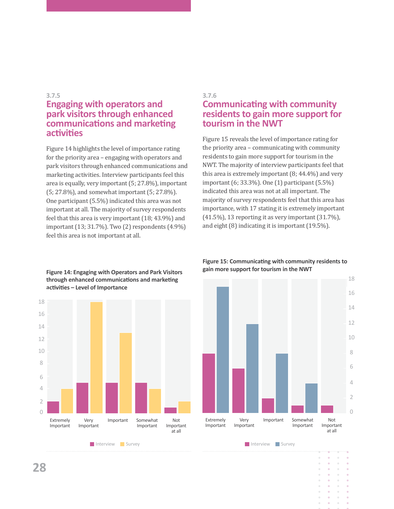#### **3.7.5**

## **Engaging with operators and park visitors through enhanced communications and marketing activities**

Figure 14 highlights the level of importance rating for the priority area – engaging with operators and park visitors through enhanced communications and marketing activities. Interview participants feel this area is equally, very important (5; 27.8%), important (5; 27.8%), and somewhat important (5; 27.8%). One participant (5.5%) indicated this area was not important at all. The majority of survey respondents feel that this area is very important (18; 43.9%) and important (13; 31.7%). Two (2) respondents (4.9%) feel this area is not important at all.

## **Figure 14: Engaging with Operators and Park Visitors through enhanced communications and marketing activities – Level of Importance**



## **3.7.6 Communicating with community residents to gain more support for tourism in the NWT**

Figure 15 reveals the level of importance rating for the priority area – communicating with community residents to gain more support for tourism in the NWT. The majority of interview participants feel that this area is extremely important (8; 44.4%) and very important (6; 33.3%). One (1) participant (5.5%) indicated this area was not at all important. The majority of survey respondents feel that this area has importance, with 17 stating it is extremely important (41.5%), 13 reporting it as very important (31.7%), and eight (8) indicating it is important (19.5%).

## **Figure 15: Communicating with community residents to gain more support for tourism in the NWT**



**28**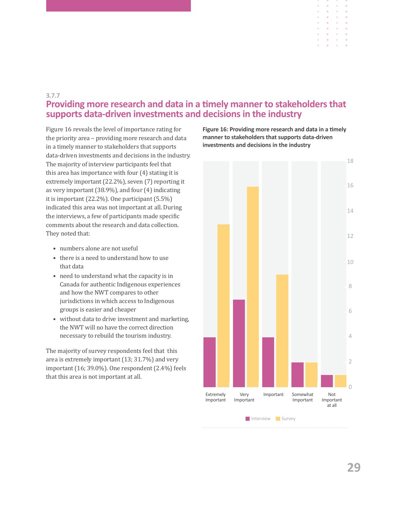## **3.7.7 Providing more research and data in a timely manner to stakeholders that supports data-driven investments and decisions in the industry**

Figure 16 reveals the level of importance rating for the priority area – providing more research and data in a timely manner to stakeholders that supports data-driven investments and decisions in the industry. The majority of interview participants feel that this area has importance with four (4) stating it is extremely important (22.2%), seven (7) reporting it as very important (38.9%), and four (4) indicating it is important (22.2%). One participant (5.5%) indicated this area was not important at all. During the interviews, a few of participants made specific comments about the research and data collection. They noted that:

- numbers alone are not useful
- there is a need to understand how to use that data
- need to understand what the capacity is in Canada for authentic Indigenous experiences and how the NWT compares to other jurisdictions in which access to Indigenous groups is easier and cheaper
- without data to drive investment and marketing, the NWT will no have the correct direction necessary to rebuild the tourism industry.

The majority of survey respondents feel that this area is extremely important (13; 31.7%) and very important (16; 39.0%). One respondent (2.4%) feels that this area is not important at all.

**Figure 16: Providing more research and data in a timely manner to stakeholders that supports data-driven investments and decisions in the industry**

 $\alpha$  $\bar{\phantom{a}}$  $\bar{0}$  $\alpha$  $\alpha$  $\alpha$  $\alpha$  $\alpha$ 

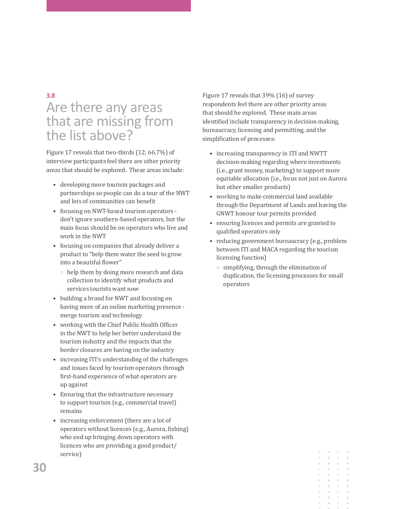## **3.8** Are there any areas that are missing from the list above?

Figure 17 reveals that two-thirds (12; 66.7%) of interview participants feel there are other priority areas that should be explored. These areas include:

- developing more tourism packages and partnerships so people can do a tour of the NWT and lots of communities can benefit
- focusing on NWT-based tourism operators don't ignore southern-based operators, but the main focus should be on operators who live and work in the NWT
- focusing on companies that already deliver a product to "help them water the seed to grow into a beautiful flower"
	- $\circ$  help them by doing more research and data collection to identify what products and services tourists want now
- building a brand for NWT and focusing on having more of an online marketing presence merge tourism and technology
- working with the Chief Public Health Officer in the NWT to help her better understand the tourism industry and the impacts that the border closures are having on the industry
- increasing ITI's understanding of the challenges and issues faced by tourism operators through first-hand experience of what operators are up against
- Ensuring that the infrastructure necessary to support tourism (e.g., commercial travel) remains
- increasing enforcement (there are a lot of operators without licences (e.g., Aurora, fishing) who end up bringing down operators with licences who are providing a good product/ service)

Figure 17 reveals that 39% (16) of survey respondents feel there are other priority areas that should be explored. These main areas identified include transparency in decision making, bureaucracy, licensing and permitting, and the simplification of processes:

- increasing transparency in ITI and NWTT decision-making regarding where investments (i.e., grant money, marketing) to support more equitable allocation (i.e., focus not just on Aurora but other smaller products)
- working to make commercial land available through the Department of Lands and having the GNWT honour tour permits provided
- ensuring licences and permits are granted to qualified operators only
- reducing government bureaucracy (e.g., problem between ITI and MACA regarding the tourism licensing function)
	- $\circ$  simplifying, through the elimination of duplication, the licensing processes for small operators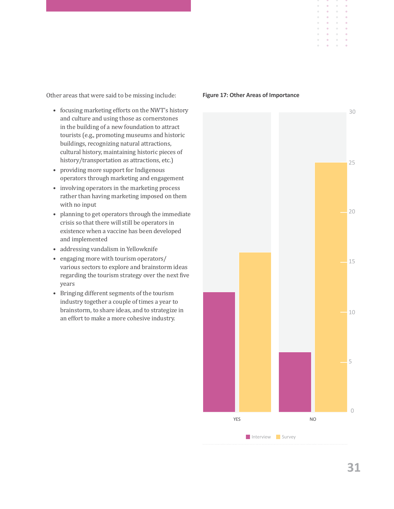Other areas that were said to be missing include:

- focusing marketing efforts on the NWT's history and culture and using those as cornerstones in the building of a new foundation to attract tourists (e.g., promoting museums and historic buildings, recognizing natural attractions, cultural history, maintaining historic pieces of history/transportation as attractions, etc.)
- providing more support for Indigenous operators through marketing and engagement
- involving operators in the marketing process rather than having marketing imposed on them with no input
- planning to get operators through the immediate crisis so that there will still be operators in existence when a vaccine has been developed and implemented
- addressing vandalism in Yellowknife
- engaging more with tourism operators/ various sectors to explore and brainstorm ideas regarding the tourism strategy over the next five years
- Bringing different segments of the tourism industry together a couple of times a year to brainstorm, to share ideas, and to strategize in an effort to make a more cohesive industry.



#### **Figure 17: Other Areas of Importance**

30

 $\alpha$  $\alpha$  $\bar{\phantom{a}}$  $\bar{0}$  $\alpha$  $\alpha$ 

 $\bar{0}$ 

25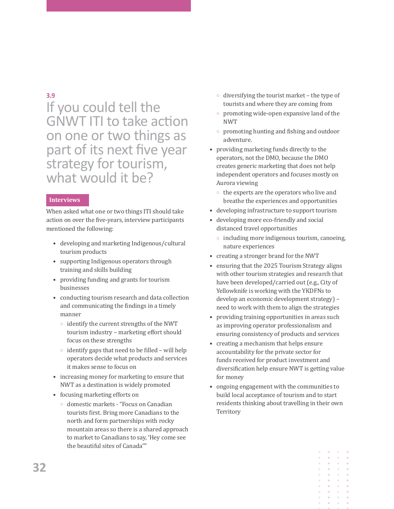## **3.9**

If you could tell the GNWT ITI to take action on one or two things as part of its next five year strategy for tourism, what would it be?

## **Interviews**

When asked what one or two things ITI should take action on over the five-years, interview participants mentioned the following:

- developing and marketing Indigenous/cultural tourism products
- supporting Indigenous operators through training and skills building
- providing funding and grants for tourism businesses
- conducting tourism research and data collection and communicating the findings in a timely manner
	- $\circ$  identify the current strengths of the NWT tourism industry – marketing effort should focus on these strengths
	- $\circ$  identify gaps that need to be filled will help operators decide what products and services it makes sense to focus on
- increasing money for marketing to ensure that NWT as a destination is widely promoted
- focusing marketing efforts on
	- { domestic markets "Focus on Canadian tourists first. Bring more Canadians to the north and form partnerships with rocky mountain areas so there is a shared approach to market to Canadians to say, 'Hey come see the beautiful sites of Canada""
- $\circ$  diversifying the tourist market the type of tourists and where they are coming from
- o promoting wide-open expansive land of the NWT
- $\circ$  promoting hunting and fishing and outdoor adventure.
- providing marketing funds directly to the operators, not the DMO, because the DMO creates generic marketing that does not help independent operators and focuses mostly on Aurora viewing
	- $\circ$  the experts are the operators who live and breathe the experiences and opportunities
- developing infrastructure to support tourism
- developing more eco-friendly and social distanced travel opportunities
	- $\circ$  including more indigenous tourism, canoeing, nature experiences
- creating a stronger brand for the NWT
- ensuring that the 2025 Tourism Strategy aligns with other tourism strategies and research that have been developed/carried out (e.g., City of Yellowknife is working with the YKDFNs to develop an economic development strategy) – need to work with them to align the strategies
- providing training opportunities in areas such as improving operator professionalism and ensuring consistency of products and services
- creating a mechanism that helps ensure accountability for the private sector for funds received for product investment and diversification help ensure NWT is getting value for money
- ongoing engagement with the communities to build local acceptance of tourism and to start residents thinking about travelling in their own **Territory**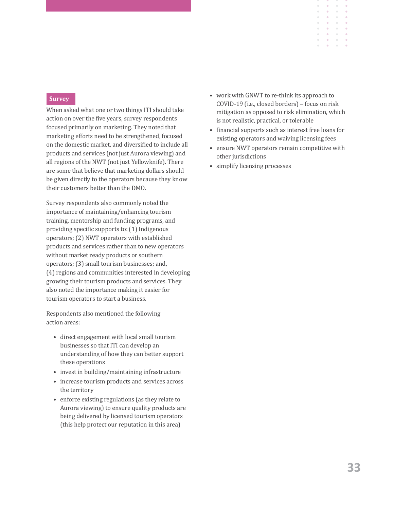#### **Survey**

When asked what one or two things ITI should take action on over the five years, survey respondents focused primarily on marketing. They noted that marketing efforts need to be strengthened, focused on the domestic market, and diversified to include all products and services (not just Aurora viewing) and all regions of the NWT (not just Yellowknife). There are some that believe that marketing dollars should be given directly to the operators because they know their customers better than the DMO.

Survey respondents also commonly noted the importance of maintaining/enhancing tourism training, mentorship and funding programs, and providing specific supports to: (1) Indigenous operators; (2) NWT operators with established products and services rather than to new operators without market ready products or southern operators; (3) small tourism businesses; and, (4) regions and communities interested in developing growing their tourism products and services. They also noted the importance making it easier for tourism operators to start a business.

Respondents also mentioned the following action areas:

- direct engagement with local small tourism businesses so that ITI can develop an understanding of how they can better support these operations
- invest in building/maintaining infrastructure
- increase tourism products and services across the territory
- enforce existing regulations (as they relate to Aurora viewing) to ensure quality products are being delivered by licensed tourism operators (this help protect our reputation in this area)

• work with GNWT to re-think its approach to COVID-19 (i.e., closed borders) – focus on risk mitigation as opposed to risk elimination, which is not realistic, practical, or tolerable

 $\alpha$ 

- financial supports such as interest free loans for existing operators and waiving licensing fees
- ensure NWT operators remain competitive with other jurisdictions
- simplify licensing processes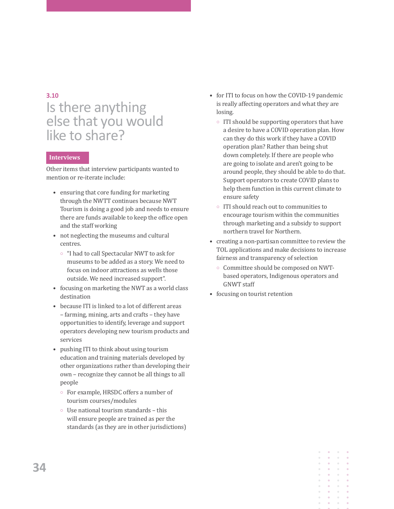## **3.10**

## Is there anything else that you would like to share?

### **Interviews**

Other items that interview participants wanted to mention or re-iterate include:

- ensuring that core funding for marketing through the NWTT continues because NWT Tourism is doing a good job and needs to ensure there are funds available to keep the office open and the staff working
- not neglecting the museums and cultural centres.
	- <sup>o</sup> "I had to call Spectacular NWT to ask for museums to be added as a story. We need to focus on indoor attractions as wells those outside. We need increased support".
- focusing on marketing the NWT as a world class destination
- because ITI is linked to a lot of different areas – farming, mining, arts and crafts – they have opportunities to identify, leverage and support operators developing new tourism products and services
- pushing ITI to think about using tourism education and training materials developed by other organizations rather than developing their own – recognize they cannot be all things to all people
	- { For example, HRSDC offers a number of tourism courses/modules
	- $\circ$  Use national tourism standards this will ensure people are trained as per the standards (as they are in other jurisdictions)
- for ITI to focus on how the COVID-19 pandemic is really affecting operators and what they are losing.
	- $\circ$  ITI should be supporting operators that have a desire to have a COVID operation plan. How can they do this work if they have a COVID operation plan? Rather than being shut down completely. If there are people who are going to isolate and aren't going to be around people, they should be able to do that. Support operators to create COVID plans to help them function in this current climate to ensure safety
	- $\circ$  ITI should reach out to communities to encourage tourism within the communities through marketing and a subsidy to support northern travel for Northern.
- creating a non-partisan committee to review the TOL applications and make decisions to increase fairness and transparency of selection
	- $\circ$  Committee should be composed on NWTbased operators, Indigenous operators and GNWT staff
- focusing on tourist retention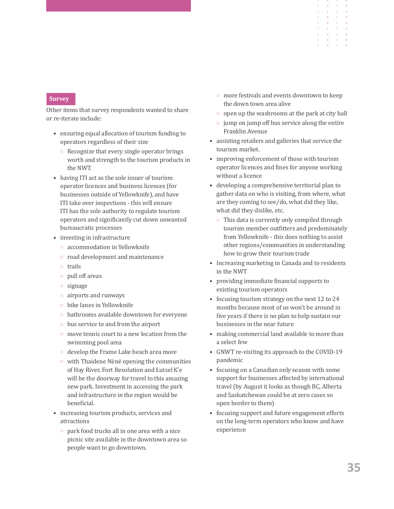#### **Survey**

Other items that survey respondents wanted to share or re-iterate include:

- ensuring equal allocation of tourism funding to operators regardless of their size
	- $\circ$  Recognize that every single operator brings worth and strength to the tourism products in the NWT.
- having ITI act as the sole issuer of tourism operator licences and business licences (for businesses outside of Yellowknife), and have ITI take over inspections - this will ensure ITI has the sole authority to regulate tourism operators and significantly cut down unwanted bureaucratic processes
- investing in infrastructure
	- $\circ$  accommodation in Yellowknife
	- $\circ$  road development and maintenance
	- { trails
	- $\circ$  pull off areas
	- $\circ$  signage
	- $\circ$  airports and runways
	- $\circ$  bike lanes in Yellowknife
	- $\circ$  bathrooms available downtown for everyone
	- $\circ$  bus service to and from the airport
	- $\circ$  move tennis court to a new location from the swimming pool area
	- $\circ$  develop the Frame Lake beach area more
	- $\circ$  with Thaidene Nëné opening the communities of Hay River, Fort Resolution and Łutsel K'e will be the doorway for travel to this amazing new park. Investment in accessing the park and infrastructure in the region would be beneficial.
- increasing tourism products, services and attractions
	- $\circ$  park food trucks all in one area with a nice picnic site available in the downtown area so people want to go downtown.

 $\circ$  more festivals and events downtown to keep the down town area alive

 $\ddot{\phantom{a}}$  $\bar{0}$ 

- $\circ$  open up the washrooms at the park at city hall
- $\circ$  jump on jump off bus service along the entire Franklin Avenue
- assisting retailers and galleries that service the tourism market.
- improving enforcement of those with tourism operator licences and fines for anyone working without a licence
- developing a comprehensive territorial plan to gather data on who is visiting, from where, what are they coming to see/do, what did they like, what did they dislike, etc.
	- $\circ$  This data is currently only compiled through tourism member outfitters and predominately from Yellowknife - this does nothing to assist other regions/communities in understanding how to grow their tourism trade
- Increasing marketing in Canada and to residents in the NWT
- providing immediate financial supports to existing tourism operators
- focusing tourism strategy on the next 12 to 24 months because most of us won't be around in five years if there is no plan to help sustain our businesses in the near future
- making commercial land available to more than a select few
- GNWT re-visiting its approach to the COVID-19 pandemic
- focusing on a Canadian only season with some support for businesses affected by international travel (by August it looks as though BC, Alberta and Saskatchewan could be at zero cases so open border to them)
- focusing support and future engagement efforts on the long-term operators who know and have experience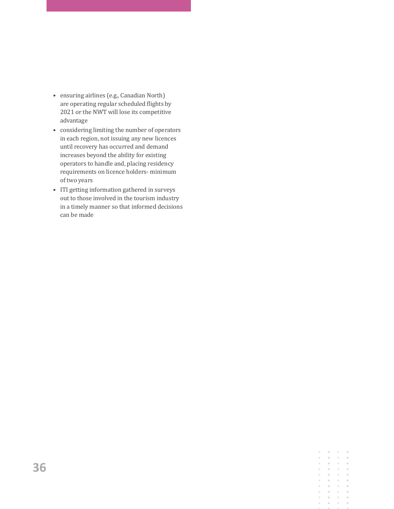- ensuring airlines (e.g., Canadian North) are operating regular scheduled flights by 2021 or the NWT will lose its competitive advantage
- considering limiting the number of operators in each region, not issuing any new licences until recovery has occurred and demand increases beyond the ability for existing operators to handle and, placing residency requirements on licence holders- minimum of two years
- ITI getting information gathered in surveys out to those involved in the tourism industry in a timely manner so that informed decisions can be made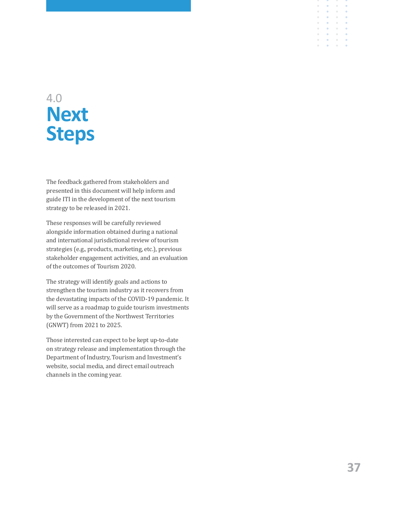# 4.0 **Next Steps**

The feedback gathered from stakeholders and presented in this document will help inform and guide ITI in the development of the next tourism strategy to be released in 2021.

These responses will be carefully reviewed alongside information obtained during a national and international jurisdictional review of tourism strategies (e.g., products, marketing, etc.), previous stakeholder engagement activities, and an evaluation of the outcomes of Tourism 2020.

The strategy will identify goals and actions to strengthen the tourism industry as it recovers from the devastating impacts of the COVID-19 pandemic. It will serve as a roadmap to guide tourism investments by the Government of the Northwest Territories (GNWT) from 2021 to 2025.

Those interested can expect to be kept up-to-date on strategy release and implementation through the Department of Industry, Tourism and Investment's website, social media, and direct email outreach channels in the coming year.

 $\ddot{\phantom{a}}$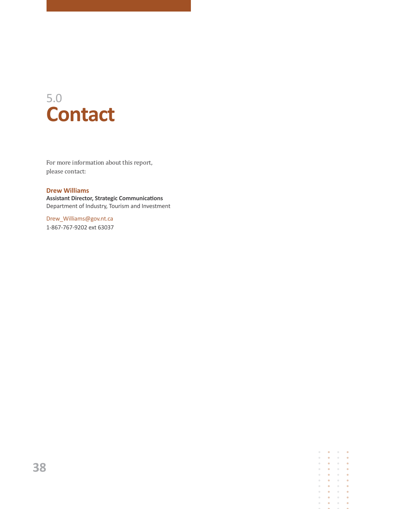# 5.0 **Contact**

For more information about this report, please contact:

## **Drew Williams**

**Assistant Director, Strategic Communications** Department of Industry, Tourism and Investment

Drew\_Williams@gov.nt.ca 1-867-767-9202 ext 63037

> $\alpha$  $\bullet$  $\alpha$  $\ddot{\phantom{a}}$  $\bullet$  $\bullet$  $\ddot{\bullet}$  $\bullet$  $\alpha$  $\sim$  $\sim$  $\bullet$  $\alpha$  $\odot$  $\bullet$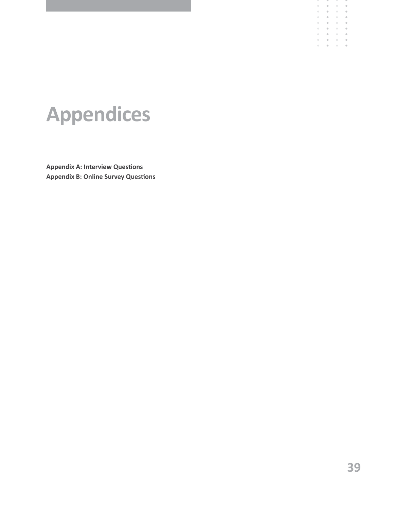# **Appendices**

**Appendix A: Interview Questions Appendix B: Online Survey Questions** - 9

 $\alpha$  $\bar{\alpha}$ 

 $\mathbf{a}^{\dagger}=\mathbf{a}^{\dagger}=\mathbf{a}^{\dagger}$ 

 $\bar{\phantom{a}}$  $\bar{\phantom{a}}$ 

÷

 $\rightarrow$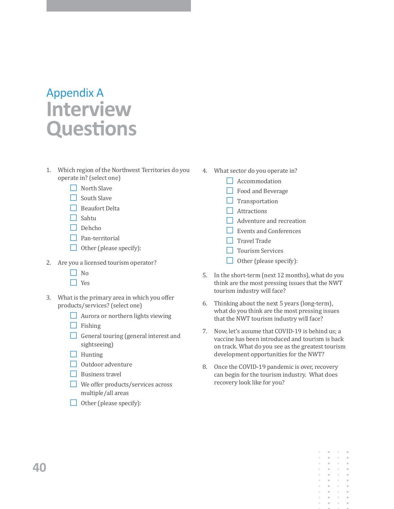# Appendix A **Interview Questions**

- 1. Which region of the Northwest Territories do you operate in? (select one)
	- $\Box$  North Slave
	- $\Box$  South Slave
	- $\Box$  Beaufort Delta
	- $\Box$  Sahtu
	- $\Box$  Dehcho
	- $\Box$  Pan-territorial
	- $\Box$  Other (please specify):
- 2. Are you a licensed tourism operator?
	- $\Box$  No
	- $\Box$  Yes
- 3. What is the primary area in which you offer products/services? (select one)
	- **Aurora or northern lights viewing**
	- $\Box$  Fishing
	- General touring (general interest and sightseeing)
	- $\Box$  Hunting
	- $\Box$  Outdoor adventure
	- $\Box$  Business travel
	- We offer products/services across multiple/all areas
	- $\Box$  Other (please specify):
- 4. What sector do you operate in?
	- **Accommodation**
	- Food and Beverage
	- $\Box$  Transportation
	- $\Box$  Attractions
	- $\Box$  Adventure and recreation
	- Events and Conferences
	- $\Box$  Travel Trade
	- **T** Tourism Services
	- $\Box$  Other (please specify):
- 5. In the short-term (next 12 months), what do you think are the most pressing issues that the NWT tourism industry will face?
- 6. Thinking about the next 5 years (long-term), what do you think are the most pressing issues that the NWT tourism industry will face?
- 7. Now, let's assume that COVID-19 is behind us; a vaccine has been introduced and tourism is back on track. What do you see as the greatest tourism development opportunities for the NWT?
- 8. Once the COVID-19 pandemic is over, recovery can begin for the tourism industry. What does recovery look like for you?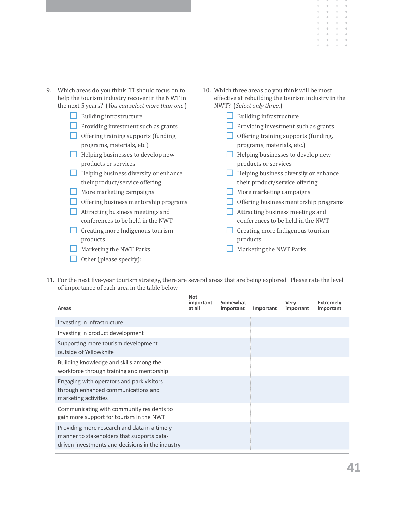- 9. Which areas do you think ITI should focus on to help the tourism industry recover in the NWT in the next 5 years? (*You can select more than one*.) **Building infrastructure**  $\Box$  Providing investment such as grants  $\Box$  Offering training supports (funding, programs, materials, etc.) **Helping businesses to develop new** products or services  $\Box$  Helping business diversify or enhance their product/service offering  $\Box$  More marketing campaigns Offering business mentorship programs  $\Box$  Attracting business meetings and conferences to be held in the NWT  $\Box$  Creating more Indigenous tourism products **Marketing the NWT Parks** 10. Which three areas do you think will be most effective at rebuilding the tourism industry in the NWT? (*Select only three.*) **Building infrastructure**  $\Box$  Providing investment such as grants  $\Box$  Offering training supports (funding, programs, materials, etc.) **Helping businesses to develop new** products or services  $\Box$  Helping business diversify or enhance their product/service offering  $\Box$  More marketing campaigns Offering business mentorship programs  $\Box$  Attracting business meetings and conferences to be held in the NWT  $\Box$  Creating more Indigenous tourism products **Marketing the NWT Parks**
- 11. For the next five-year tourism strategy, there are several areas that are being explored. Please rate the level of importance of each area in the table below.

Other (please specify):

| Areas                                                                                                                                          | <b>Not</b><br>important<br>at all | Somewhat<br>important | Important | Very<br>important | <b>Extremely</b><br>important |
|------------------------------------------------------------------------------------------------------------------------------------------------|-----------------------------------|-----------------------|-----------|-------------------|-------------------------------|
| Investing in infrastructure                                                                                                                    |                                   |                       |           |                   |                               |
| Investing in product development                                                                                                               |                                   |                       |           |                   |                               |
| Supporting more tourism development<br>outside of Yellowknife                                                                                  |                                   |                       |           |                   |                               |
| Building knowledge and skills among the<br>workforce through training and mentorship                                                           |                                   |                       |           |                   |                               |
| Engaging with operators and park visitors<br>through enhanced communications and<br>marketing activities                                       |                                   |                       |           |                   |                               |
| Communicating with community residents to<br>gain more support for tourism in the NWT                                                          |                                   |                       |           |                   |                               |
| Providing more research and data in a timely<br>manner to stakeholders that supports data-<br>driven investments and decisions in the industry |                                   |                       |           |                   |                               |

 $\ddot{\phantom{a}}$  $\bar{0}$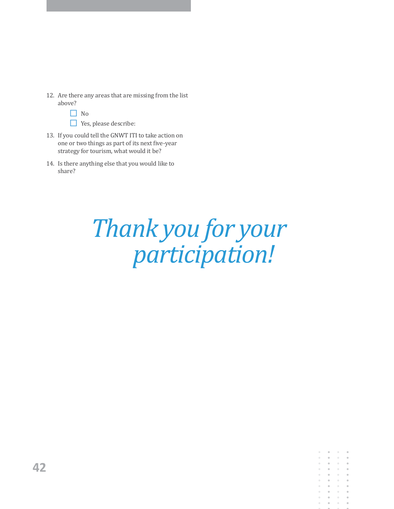12. Are there any areas that are missing from the list above?

| × |
|---|
|---|

Yes, please describe:

- 13. If you could tell the GNWT ITI to take action on one or two things as part of its next five-year strategy for tourism, what would it be?
- 14. Is there anything else that you would like to share?

# *Thank you for your participation!*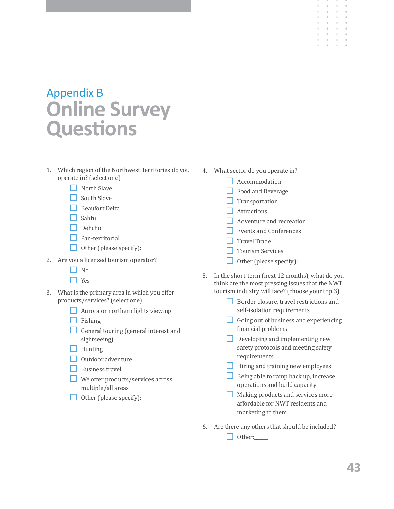## Appendix B **Online Survey Questions**

- 1. Which region of the Northwest Territories do you operate in? (select one)
	- $\Box$  North Slave
	- $\Box$  South Slave
	- $\Box$  Beaufort Delta
	- $\Box$  Sahtu
	- $\Box$  Dehcho
	- $\Box$  Pan-territorial
	- $\Box$  Other (please specify):
- 2. Are you a licensed tourism operator?
	- $\Box$  No
	- $\Box$  Yes
- 3. What is the primary area in which you offer products/services? (select one)
	- $\Box$  Aurora or northern lights viewing
	- $\Box$  Fishing
	- General touring (general interest and sightseeing)
	- $\Box$  Hunting
	- $\Box$  Outdoor adventure
	- $\Box$  Business travel
	- $\Box$  We offer products/services across multiple/all areas
	- $\Box$  Other (please specify):
- 4. What sector do you operate in?
	- **N** Accommodation
	- $\Box$  Food and Beverage
	- $\Box$  Transportation
	- $\Box$  Attractions
	- Adventure and recreation
	- $\Box$  Events and Conferences
	- $\Box$  Travel Trade
	- $\Box$  Tourism Services
	- $\Box$  Other (please specify):
- 5. In the short-term (next 12 months), what do you think are the most pressing issues that the NWT tourism industry will face? (choose your top 3)
	- Border closure, travel restrictions and self-isolation requirements
	- Going out of business and experiencing financial problems
	- Developing and implementing new safety protocols and meeting safety requirements
	- $\Box$  Hiring and training new employees
	- $\Box$  Being able to ramp back up, increase operations and build capacity
	- **Making products and services more** affordable for NWT residents and marketing to them
- 6. Are there any others that should be included?

 $\Box$  Other: $\Box$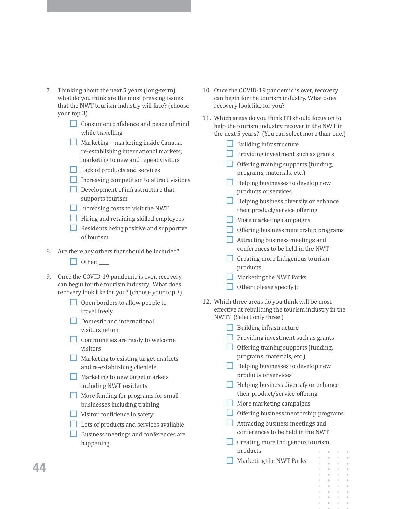- 7. Thinking about the next 5 years (long-term), what do you think are the most pressing issues that the NWT tourism industry will face? (choose your top 3)
	- Consumer confidence and peace of mind while travelling
	- $\Box$  Marketing marketing inside Canada, re-establishing international markets, marketing to new and repeat visitors
	- $\Box$  Lack of products and services
	- $\Box$  Increasing competition to attract visitors
	- $\Box$  Development of infrastructure that supports tourism
	- $\Box$  Increasing costs to visit the NWT
	- **Hiring and retaining skilled employees**
	- $\Box$  Residents being positive and supportive of tourism
- 8. Are there any others that should be included?
	- $\Box$  Other:
- 9. Once the COVID-19 pandemic is over, recovery can begin for the tourism industry. What does recovery look like for you? (choose your top 3)
	- $\Box$  Open borders to allow people to travel freely
	- $\Box$  Domestic and international visitors return
	- $\Box$  Communities are ready to welcome visitors
	- $\Box$  Marketing to existing target markets and re-establishing clientele
	- **Marketing to new target markets** including NWT residents
	- More funding for programs for small businesses including training
	- $\Box$  Visitor confidence in safety
	- Lots of products and services available
	- Business meetings and conferences are happening
- 10. Once the COVID-19 pandemic is over, recovery can begin for the tourism industry. What does recovery look like for you?
- 11. Which areas do you think ITI should focus on to help the tourism industry recover in the NWT in the next 5 years? (You can select more than one.)
	- $\Box$  Building infrastructure
	- $\Box$  Providing investment such as grants
	- $\Box$  Offering training supports (funding, programs, materials, etc.)
	- $\Box$  Helping businesses to develop new products or services
	- $\Box$  Helping business diversify or enhance their product/service offering
	- $\Box$  More marketing campaigns
	- $\Box$  Offering business mentorship programs
	- $\Box$  Attracting business meetings and conferences to be held in the NWT
	- $\Box$  Creating more Indigenous tourism products
	- $\Box$  Marketing the NWT Parks
	- $\Box$  Other (please specify):
- 12. Which three areas do you think will be most effective at rebuilding the tourism industry in the NWT? (Select only three.)
	- $\Box$  Building infrastructure
	- $\Box$  Providing investment such as grants
	- $\Box$  Offering training supports (funding, programs, materials, etc.)
	- $\Box$  Helping businesses to develop new products or services
	- $\Box$  Helping business diversify or enhance their product/service offering
	- $\Box$  More marketing campaigns
	- $\Box$  Offering business mentorship programs
	- $\Box$  Attracting business meetings and conferences to be held in the NWT
	- $\Box$  Creating more Indigenous tourism products
	- $\Box$  Marketing the NWT Parks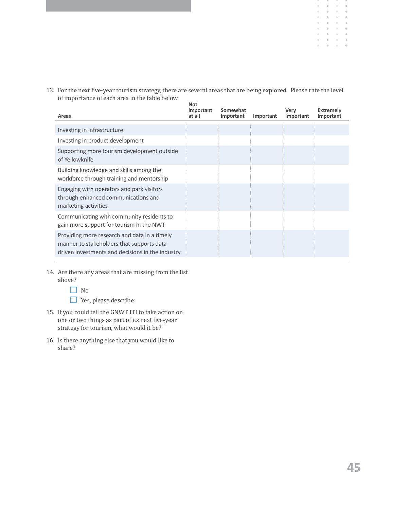13. For the next five-year tourism strategy, there are several areas that are being explored. Please rate the level of importance of each area in the table below. **Not** 

| Areas                                                                                                                                          | <b>NOL</b><br>important<br>at all | Somewhat<br>important | Important | Very<br>important | Extremely<br>important |
|------------------------------------------------------------------------------------------------------------------------------------------------|-----------------------------------|-----------------------|-----------|-------------------|------------------------|
| Investing in infrastructure                                                                                                                    |                                   |                       |           |                   |                        |
| Investing in product development                                                                                                               |                                   |                       |           |                   |                        |
| Supporting more tourism development outside<br>of Yellowknife                                                                                  |                                   |                       |           |                   |                        |
| Building knowledge and skills among the<br>workforce through training and mentorship                                                           |                                   |                       |           |                   |                        |
| Engaging with operators and park visitors<br>through enhanced communications and<br>marketing activities                                       |                                   |                       |           |                   |                        |
| Communicating with community residents to<br>gain more support for tourism in the NWT                                                          |                                   |                       |           |                   |                        |
| Providing more research and data in a timely<br>manner to stakeholders that supports data-<br>driven investments and decisions in the industry |                                   |                       |           |                   |                        |

- 14. Are there any areas that are missing from the list above?
	- □ No

■ Yes, please describe:

- 15. If you could tell the GNWT ITI to take action on one or two things as part of its next five-year strategy for tourism, what would it be?
- 16. Is there anything else that you would like to share?

 $\bullet$  $\bar{\theta}$  $\bar{0}$  $\ddot{\phantom{a}}$ 

 $\alpha$  $\bar{\alpha}$  $\alpha$  $\begin{array}{c} \circ \\ \circ \end{array}$ 

 $\alpha$  $\alpha$  $\bar{a}$ 

 $\alpha$  $\sim$  $\alpha$ 

 $\alpha$ 

 $\alpha$  .

 $\bar{\alpha}$  $\alpha$  $\mathbb{R}^+$ 

 $\alpha$  $\sim$  $\alpha$ 

 $\circ$  $\rightarrow$ 

 $\alpha$  $\lambda$ 

 $\circ$